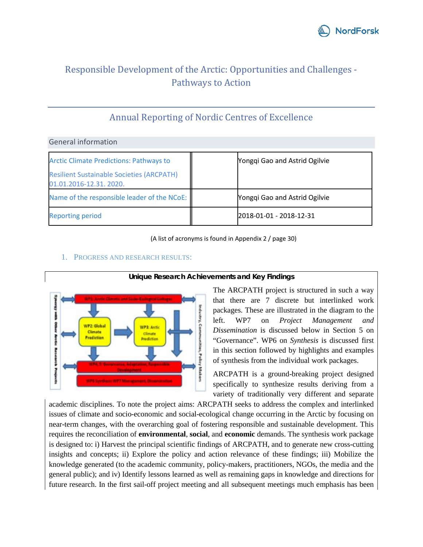

# Responsible Development of the Arctic: Opportunities and Challenges - Pathways to Action

# Annual Reporting of Nordic Centres of Excellence

General information

| <b>Arctic Climate Predictions: Pathways to</b>                             | Yongqi Gao and Astrid Ogilvie |
|----------------------------------------------------------------------------|-------------------------------|
| <b>Resilient Sustainable Societies (ARCPATH)</b><br>01.01.2016-12.31.2020. |                               |
| Name of the responsible leader of the NCoE:                                | Yongqi Gao and Astrid Ogilvie |
| <b>Reporting period</b>                                                    | 2018-01-01 - 2018-12-31       |

(A list of acronyms is found in Appendix 2 / page 30)



1. PROGRESS AND RESEARCH RESULTS:

**Unique Research Achievements and Key Findings**

The ARCPATH project is structured in such a way that there are 7 discrete but interlinked work packages. These are illustrated in the diagram to the left. WP7 on *Project Management and Dissemination* is discussed below in Section 5 on "Governance". WP6 on *Synthesis* is discussed first in this section followed by highlights and examples of synthesis from the individual work packages.

ARCPATH is a ground-breaking project designed specifically to synthesize results deriving from a variety of traditionally very different and separate

academic disciplines. To note the project aims: ARCPATH seeks to address the complex and interlinked issues of climate and socio-economic and social-ecological change occurring in the Arctic by focusing on near-term changes, with the overarching goal of fostering responsible and sustainable development. This requires the reconciliation of **environmental**, **social**, and **economic** demands. The synthesis work package is designed to: i) Harvest the principal scientific findings of ARCPATH, and to generate new cross-cutting insights and concepts; ii) Explore the policy and action relevance of these findings; iii) Mobilize the knowledge generated (to the academic community, policy-makers, practitioners, NGOs, the media and the general public); and iv) Identify lessons learned as well as remaining gaps in knowledge and directions for future research. In the first sail-off project meeting and all subsequent meetings much emphasis has been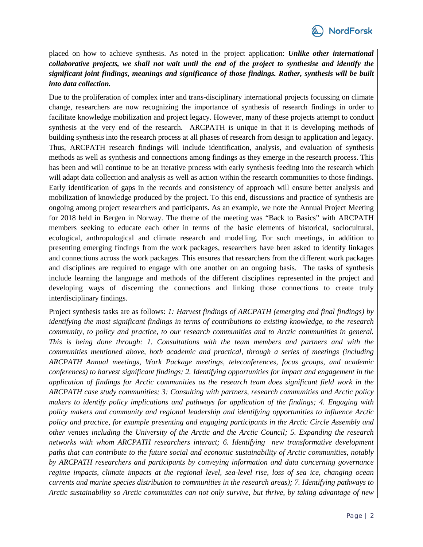

placed on how to achieve synthesis. As noted in the project application: *Unlike other international collaborative projects, we shall not wait until the end of the project to synthesise and identify the significant joint findings, meanings and significance of those findings. Rather, synthesis will be built into data collection.*

Due to the proliferation of complex inter and trans-disciplinary international projects focussing on climate change, researchers are now recognizing the importance of synthesis of research findings in order to facilitate knowledge mobilization and project legacy. However, many of these projects attempt to conduct synthesis at the very end of the research. ARCPATH is unique in that it is developing methods of building synthesis into the research process at all phases of research from design to application and legacy. Thus, ARCPATH research findings will include identification, analysis, and evaluation of synthesis methods as well as synthesis and connections among findings as they emerge in the research process. This has been and will continue to be an iterative process with early synthesis feeding into the research which will adapt data collection and analysis as well as action within the research communities to those findings. Early identification of gaps in the records and consistency of approach will ensure better analysis and mobilization of knowledge produced by the project. To this end, discussions and practice of synthesis are ongoing among project researchers and participants. As an example, we note the Annual Project Meeting for 2018 held in Bergen in Norway. The theme of the meeting was "Back to Basics" with ARCPATH members seeking to educate each other in terms of the basic elements of historical, sociocultural, ecological, anthropological and climate research and modelling. For such meetings, in addition to presenting emerging findings from the work packages, researchers have been asked to identify linkages and connections across the work packages. This ensures that researchers from the different work packages and disciplines are required to engage with one another on an ongoing basis. The tasks of synthesis include learning the language and methods of the different disciplines represented in the project and developing ways of discerning the connections and linking those connections to create truly interdisciplinary findings.

Project synthesis tasks are as follows: *1: Harvest findings of ARCPATH (emerging and final findings) by identifying the most significant findings in terms of contributions to existing knowledge, to the research community, to policy and practice, to our research communities and to Arctic communities in general. This is being done through: 1. Consultations with the team members and partners and with the communities mentioned above, both academic and practical, through a series of meetings (including ARCPATH Annual meetings, Work Package meetings, teleconferences, focus groups, and academic conferences) to harvest significant findings; 2. Identifying opportunities for impact and engagement in the application of findings for Arctic communities as the research team does significant field work in the ARCPATH case study communities; 3: Consulting with partners, research communities and Arctic policy makers to identify policy implications and pathways for application of the findings; 4. Engaging with policy makers and community and regional leadership and identifying opportunities to influence Arctic policy and practice, for example presenting and engaging participants in the Arctic Circle Assembly and other venues including the University of the Arctic and the Arctic Council; 5. Expanding the research networks with whom ARCPATH researchers interact; 6. Identifying new transformative development paths that can contribute to the future social and economic sustainability of Arctic communities, notably by ARCPATH researchers and participants by conveying information and data concerning governance regime impacts, climate impacts at the regional level, sea-level rise, loss of sea ice, changing ocean currents and marine species distribution to communities in the research areas); 7. Identifying pathways to Arctic sustainability so Arctic communities can not only survive, but thrive, by taking advantage of new*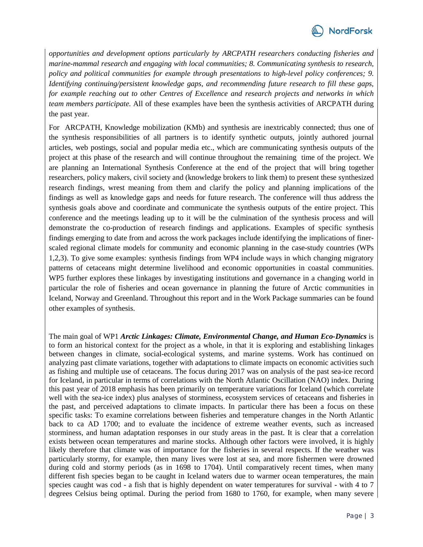

*opportunities and development options particularly by ARCPATH researchers conducting fisheries and marine-mammal research and engaging with local communities; 8. Communicating synthesis to research, policy and political communities for example through presentations to high-level policy conferences; 9. Identifying continuing/persistent knowledge gaps, and recommending future research to fill these gaps, for example reaching out to other Centres of Excellence and research projects and networks in which team members participate.* All of these examples have been the synthesis activities of ARCPATH during the past year.

For ARCPATH, Knowledge mobilization (KMb) and synthesis are inextricably connected; thus one of the synthesis responsibilities of all partners is to identify synthetic outputs, jointly authored journal articles, web postings, social and popular media etc., which are communicating synthesis outputs of the project at this phase of the research and will continue throughout the remaining time of the project. We are planning an International Synthesis Conference at the end of the project that will bring together researchers, policy makers, civil society and (knowledge brokers to link them) to present these synthesized research findings, wrest meaning from them and clarify the policy and planning implications of the findings as well as knowledge gaps and needs for future research. The conference will thus address the synthesis goals above and coordinate and communicate the synthesis outputs of the entire project. This conference and the meetings leading up to it will be the culmination of the synthesis process and will demonstrate the co-production of research findings and applications. Examples of specific synthesis findings emerging to date from and across the work packages include identifying the implications of finerscaled regional climate models for community and economic planning in the case-study countries (WPs 1,2,3). To give some examples: synthesis findings from WP4 include ways in which changing migratory patterns of cetaceans might determine livelihood and economic opportunities in coastal communities. WP5 further explores these linkages by investigating institutions and governance in a changing world in particular the role of fisheries and ocean governance in planning the future of Arctic communities in Iceland, Norway and Greenland. Throughout this report and in the Work Package summaries can be found other examples of synthesis.

The main goal of WP1 *Arctic Linkages: Climate, Environmental Change, and Human Eco-Dynamics* is to form an historical context for the project as a whole, in that it is exploring and establishing linkages between changes in climate, social-ecological systems, and marine systems. Work has continued on analyzing past climate variations, together with adaptations to climate impacts on economic activities such as fishing and multiple use of cetaceans. The focus during 2017 was on analysis of the past sea-ice record for Iceland, in particular in terms of correlations with the North Atlantic Oscillation (NAO) index. During this past year of 2018 emphasis has been primarily on temperature variations for Iceland (which correlate well with the sea-ice index) plus analyses of storminess, ecosystem services of cetaceans and fisheries in the past, and perceived adaptations to climate impacts. In particular there has been a focus on these specific tasks: To examine correlations between fisheries and temperature changes in the North Atlantic back to ca AD 1700; and to evaluate the incidence of extreme weather events, such as increased storminess, and human adaptation responses in our study areas in the past. It is clear that a correlation exists between ocean temperatures and marine stocks. Although other factors were involved, it is highly likely therefore that climate was of importance for the fisheries in several respects. If the weather was particularly stormy, for example, then many lives were lost at sea, and more fishermen were drowned during cold and stormy periods (as in 1698 to 1704). Until comparatively recent times, when many different fish species began to be caught in Iceland waters due to warmer ocean temperatures, the main species caught was cod - a fish that is highly dependent on water temperatures for survival - with 4 to 7 degrees Celsius being optimal. During the period from 1680 to 1760, for example, when many severe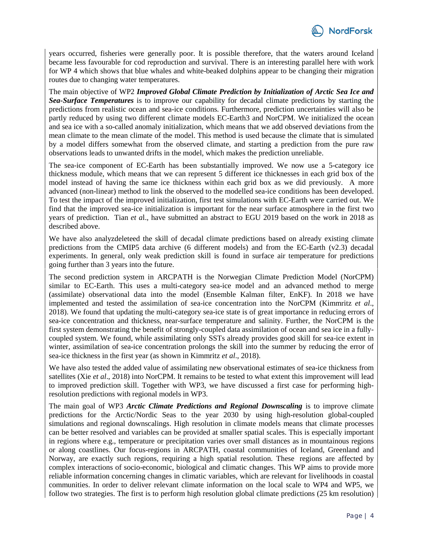years occurred, fisheries were generally poor. It is possible therefore, that the waters around Iceland became less favourable for cod reproduction and survival. There is an interesting parallel here with work for WP 4 which shows that blue whales and white-beaked dolphins appear to be changing their migration routes due to changing water temperatures.

The main objective of WP2 *Improved Global Climate Prediction by Initialization of Arctic Sea Ice and Sea-Surface Temperatures* is to improve our capability for decadal climate predictions by starting the predictions from realistic ocean and sea-ice conditions. Furthermore, prediction uncertainties will also be partly reduced by using two different climate models EC-Earth3 and NorCPM. We initialized the ocean and sea ice with a so-called anomaly initialization, which means that we add observed deviations from the mean climate to the mean climate of the model. This method is used because the climate that is simulated by a model differs somewhat from the observed climate, and starting a prediction from the pure raw observations leads to unwanted drifts in the model, which makes the prediction unreliable.

The sea-ice component of EC-Earth has been substantially improved. We now use a 5-category ice thickness module, which means that we can represent 5 different ice thicknesses in each grid box of the model instead of having the same ice thickness within each grid box as we did previously. A more advanced (non-linear) method to link the observed to the modelled sea-ice conditions has been developed. To test the impact of the improved initialization, first test simulations with EC-Earth were carried out. We find that the improved sea-ice initialization is important for the near surface atmosphere in the first two years of prediction. Tian *et a*l., have submitted an abstract to EGU 2019 based on the work in 2018 as described above.

We have also analyzdeleteed the skill of decadal climate predictions based on already existing climate predictions from the CMIP5 data archive (6 different models) and from the EC-Earth (v2.3) decadal experiments. In general, only weak prediction skill is found in surface air temperature for predictions going further than 3 years into the future.

The second prediction system in ARCPATH is the Norwegian Climate Prediction Model (NorCPM) similar to EC-Earth. This uses a multi-category sea-ice model and an advanced method to merge (assimilate) observational data into the model (Ensemble Kalman filter, EnKF). In 2018 we have implemented and tested the assimilation of sea-ice concentration into the NorCPM (Kimmritz *et al*., 2018). We found that updating the multi-category sea-ice state is of great importance in reducing errors of sea-ice concentration and thickness, near-surface temperature and salinity. Further, the NorCPM is the first system demonstrating the benefit of strongly-coupled data assimilation of ocean and sea ice in a fullycoupled system. We found, while assimilating only SSTs already provides good skill for sea-ice extent in winter, assimilation of sea-ice concentration prolongs the skill into the summer by reducing the error of sea-ice thickness in the first year (as shown in Kimmritz *et al*., 2018).

We have also tested the added value of assimilating new observational estimates of sea-ice thickness from satellites (Xie *et al*., 2018) into NorCPM. It remains to be tested to what extent this improvement will lead to improved prediction skill. Together with WP3, we have discussed a first case for performing highresolution predictions with regional models in WP3.

The main goal of WP3 *Arctic Climate Predictions and Regional Downscaling* is to improve climate predictions for the Arctic/Nordic Seas to the year 2030 by using high-resolution global-coupled simulations and regional downscalings. High resolution in climate models means that climate processes can be better resolved and variables can be provided at smaller spatial scales. This is especially important in regions where e.g., temperature or precipitation varies over small distances as in mountainous regions or along coastlines. Our focus-regions in ARCPATH, coastal communities of Iceland, Greenland and Norway, are exactly such regions, requiring a high spatial resolution. These regions are affected by complex interactions of socio-economic, biological and climatic changes. This WP aims to provide more reliable information concerning changes in climatic variables, which are relevant for livelihoods in coastal communities. In order to deliver relevant climate information on the local scale to WP4 and WP5, we follow two strategies. The first is to perform high resolution global climate predictions (25 km resolution)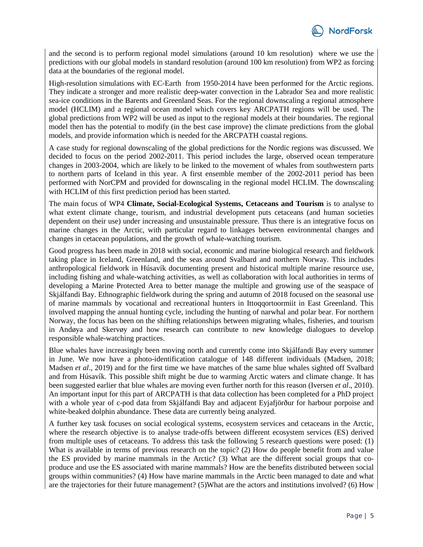

and the second is to perform regional model simulations (around 10 km resolution) where we use the predictions with our global models in standard resolution (around 100 km resolution) from WP2 as forcing data at the boundaries of the regional model.

High-resolution simulations with EC-Earth from 1950-2014 have been performed for the Arctic regions. They indicate a stronger and more realistic deep-water convection in the Labrador Sea and more realistic sea-ice conditions in the Barents and Greenland Seas. For the regional downscaling a regional atmosphere model (HCLIM) and a regional ocean model which covers key ARCPATH regions will be used. The global predictions from WP2 will be used as input to the regional models at their boundaries. The regional model then has the potential to modify (in the best case improve) the climate predictions from the global models, and provide information which is needed for the ARCPATH coastal regions.

A case study for regional downscaling of the global predictions for the Nordic regions was discussed. We decided to focus on the period 2002-2011. This period includes the large, observed ocean temperature changes in 2003-2004, which are likely to be linked to the movement of whales from southwestern parts to northern parts of Iceland in this year. A first ensemble member of the 2002-2011 period has been performed with NorCPM and provided for downscaling in the regional model HCLIM. The downscaling with HCLIM of this first prediction period has been started.

The main focus of WP4 **Climate, Social-Ecological Systems, Cetaceans and Tourism** is to analyse to what extent climate change, tourism, and industrial development puts cetaceans (and human societies dependent on their use) under increasing and unsustainable pressure. Thus there is an integrative focus on marine changes in the Arctic, with particular regard to linkages between environmental changes and changes in cetacean populations, and the growth of whale-watching tourism.

Good progress has been made in 2018 with social, economic and marine biological research and fieldwork taking place in Iceland, Greenland, and the seas around Svalbard and northern Norway. This includes anthropological fieldwork in Húsavík documenting present and historical multiple marine resource use, including fishing and whale-watching activities, as well as collaboration with local authorities in terms of developing a Marine Protected Area to better manage the multiple and growing use of the seaspace of Skjálfandi Bay. Ethnographic fieldwork during the spring and autumn of 2018 focused on the seasonal use of marine mammals by vocational and recreational hunters in Ittoqqortoormiit in East Greenland. This involved mapping the annual hunting cycle, including the hunting of narwhal and polar bear. For northern Norway, the focus has been on the shifting relationships between migrating whales, fisheries, and tourism in Andøya and Skervøy and how research can contribute to new knowledge dialogues to develop responsible whale-watching practices.

Blue whales have increasingly been moving north and currently come into Skjálfandi Bay every summer in June. We now have a photo-identification catalogue of 148 different individuals (Madsen, 2018; Madsen *et al*., 2019) and for the first time we have matches of the same blue whales sighted off Svalbard and from Húsavík. This possible shift might be due to warming Arctic waters and climate change. It has been suggested earlier that blue whales are moving even further north for this reason (Iversen *et al*., 2010). An important input for this part of ARCPATH is that data collection has been completed for a PhD project with a whole year of c-pod data from Skjálfandi Bay and adjacent Eyjafjörður for harbour porpoise and white-beaked dolphin abundance. These data are currently being analyzed.

A further key task focuses on social ecological systems, ecosystem services and cetaceans in the Arctic, where the research objective is to analyse trade-offs between different ecosystem services (ES) derived from multiple uses of cetaceans*.* To address this task the following 5 research questions were posed: (1) What is available in terms of previous research on the topic? (2) How do people benefit from and value the ES provided by marine mammals in the Arctic? (3) What are the different social groups that coproduce and use the ES associated with marine mammals? How are the benefits distributed between social groups within communities? (4) How have marine mammals in the Arctic been managed to date and what are the trajectories for their future management? (5)What are the actors and institutions involved? (6) How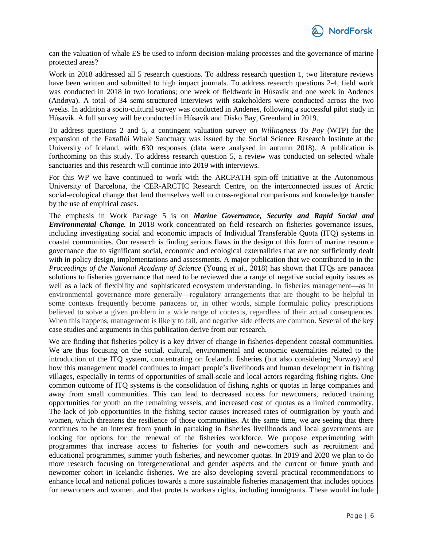

can the valuation of whale ES be used to inform decision-making processes and the governance of marine protected areas?

Work in 2018 addressed all 5 research questions. To address research question 1, two literature reviews have been written and submitted to high impact journals. To address research questions 2-4, field work was conducted in 2018 in two locations; one week of fieldwork in Húsavík and one week in Andenes (Andøya). A total of 34 semi-structured interviews with stakeholders were conducted across the two weeks. In addition a socio-cultural survey was conducted in Andenes, following a successful pilot study in Húsavík. A full survey will be conducted in Húsavík and Disko Bay, Greenland in 2019.

To address questions 2 and 5, a contingent valuation survey on *Willingness To Pay* (WTP) for the expansion of the Faxaflói Whale Sanctuary was issued by the Social Science Research Institute at the University of Iceland, with 630 responses (data were analysed in autumn 2018). A publication is forthcoming on this study. To address research question 5, a review was conducted on selected whale sanctuaries and this research will continue into 2019 with interviews.

For this WP we have continued to work with the ARCPATH spin-off initiative at the Autonomous University of Barcelona, the CER-ARCTIC Research Centre, on the interconnected issues of Arctic social-ecological change that lend themselves well to cross-regional comparisons and knowledge transfer by the use of empirical cases.

The emphasis in Work Package 5 is on *Marine Governance, Security and Rapid Social and Environmental Change.* In 2018 work concentrated on field research on fisheries governance issues, including investigating social and economic impacts of Individual Transferable Quota (ITQ) systems in coastal communities. Our research is finding serious flaws in the design of this form of marine resource governance due to significant social, economic and ecological externalities that are not sufficiently dealt with in policy design, implementations and assessments. A major publication that we contributed to in the *Proceedings of the National Academy of Science* (Young *et al*., 2018) has shown that ITQs are panacea solutions to fisheries governance that need to be reviewed due a range of negative social equity issues as well as a lack of flexibility and sophisticated ecosystem understanding. In fisheries management—as in environmental governance more generally—regulatory arrangements that are thought to be helpful in some contexts frequently become panaceas or, in other words, simple formulaic policy prescriptions believed to solve a given problem in a wide range of contexts, regardless of their actual consequences. When this happens, management is likely to fail, and negative side effects are common. Several of the key case studies and arguments in this publication derive from our research.

We are finding that fisheries policy is a key driver of change in fisheries-dependent coastal communities. We are thus focusing on the social, cultural, environmental and economic externalities related to the introduction of the ITQ system, concentrating on Icelandic fisheries (but also considering Norway) and how this management model continues to impact people's livelihoods and human development in fishing villages, especially in terms of opportunities of small-scale and local actors regarding fishing rights. One common outcome of ITQ systems is the consolidation of fishing rights or quotas in large companies and away from small communities. This can lead to decreased access for newcomers, reduced training opportunities for youth on the remaining vessels, and increased cost of quotas as a limited commodity. The lack of job opportunities in the fishing sector causes increased rates of outmigration by youth and women, which threatens the resilience of those communities. At the same time, we are seeing that there continues to be an interest from youth in partaking in fisheries livelihoods and local governments are looking for options for the renewal of the fisheries workforce. We propose experimenting with programmes that increase access to fisheries for youth and newcomers such as recruitment and educational programmes, summer youth fisheries, and newcomer quotas. In 2019 and 2020 we plan to do more research focusing on intergenerational and gender aspects and the current or future youth and newcomer cohort in Icelandic fisheries. We are also developing several practical recommendations to enhance local and national policies towards a more sustainable fisheries management that includes options for newcomers and women, and that protects workers rights, including immigrants. These would include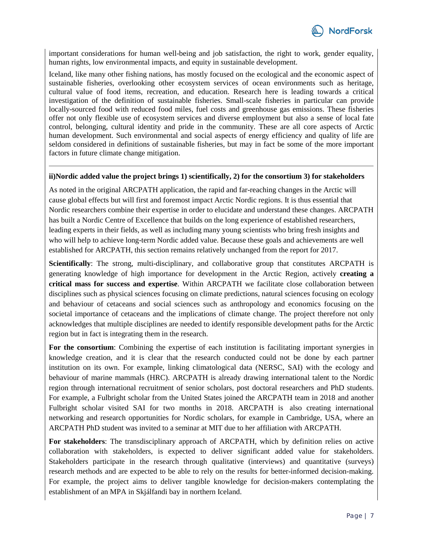

important considerations for human well-being and job satisfaction, the right to work, gender equality, human rights, low environmental impacts, and equity in sustainable development.

Iceland, like many other fishing nations, has mostly focused on the ecological and the economic aspect of sustainable fisheries, overlooking other ecosystem services of ocean environments such as heritage, cultural value of food items, recreation, and education. Research here is leading towards a critical investigation of the definition of sustainable fisheries. Small-scale fisheries in particular can provide locally-sourced food with reduced food miles, fuel costs and greenhouse gas emissions. These fisheries offer not only flexible use of ecosystem services and diverse employment but also a sense of local fate control, belonging, cultural identity and pride in the community. These are all core aspects of Arctic human development. Such environmental and social aspects of energy efficiency and quality of life are seldom considered in definitions of sustainable fisheries, but may in fact be some of the more important factors in future climate change mitigation.

#### **ii)Nordic added value the project brings 1) scientifically, 2) for the consortium 3) for stakeholders**

As noted in the original ARCPATH application, the rapid and far-reaching changes in the Arctic will cause global effects but will first and foremost impact Arctic Nordic regions. It is thus essential that Nordic researchers combine their expertise in order to elucidate and understand these changes. ARCPATH has built a Nordic Centre of Excellence that builds on the long experience of established researchers, leading experts in their fields, as well as including many young scientists who bring fresh insights and who will help to achieve long-term Nordic added value. Because these goals and achievements are well established for ARCPATH, this section remains relatively unchanged from the report for 2017.

**Scientifically**: The strong, multi-disciplinary, and collaborative group that constitutes ARCPATH is generating knowledge of high importance for development in the Arctic Region, actively **creating a critical mass for success and expertise**. Within ARCPATH we facilitate close collaboration between disciplines such as physical sciences focusing on climate predictions, natural sciences focusing on ecology and behaviour of cetaceans and social sciences such as anthropology and economics focusing on the societal importance of cetaceans and the implications of climate change. The project therefore not only acknowledges that multiple disciplines are needed to identify responsible development paths for the Arctic region but in fact is integrating them in the research.

**For the consortium**: Combining the expertise of each institution is facilitating important synergies in knowledge creation, and it is clear that the research conducted could not be done by each partner institution on its own. For example, linking climatological data (NERSC, SAI) with the ecology and behaviour of marine mammals (HRC). ARCPATH is already drawing international talent to the Nordic region through international recruitment of senior scholars, post doctoral researchers and PhD students. For example, a Fulbright scholar from the United States joined the ARCPATH team in 2018 and another Fulbright scholar visited SAI for two months in 2018. ARCPATH is also creating international networking and research opportunities for Nordic scholars, for example in Cambridge, USA, where an ARCPATH PhD student was invited to a seminar at MIT due to her affiliation with ARCPATH.

**For stakeholders**: The transdisciplinary approach of ARCPATH, which by definition relies on active collaboration with stakeholders, is expected to deliver significant added value for stakeholders. Stakeholders participate in the research through qualitative (interviews) and quantitative (surveys) research methods and are expected to be able to rely on the results for better-informed decision-making. For example, the project aims to deliver tangible knowledge for decision-makers contemplating the establishment of an MPA in Skjálfandi bay in northern Iceland.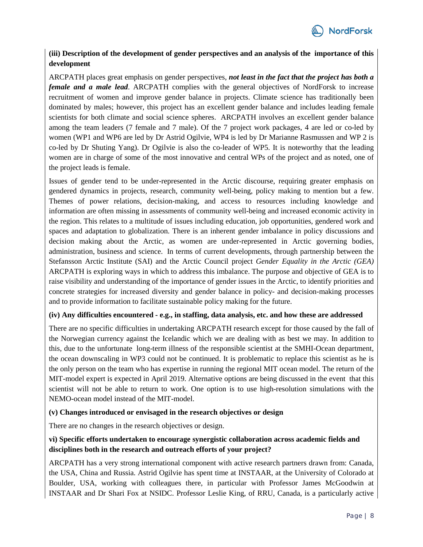

# **(iii) Description of the development of gender perspectives and an analysis of the importance of this development**

ARCPATH places great emphasis on gender perspectives, *not least in the fact that the project has both a female and a male lead*. ARCPATH complies with the general objectives of NordForsk to increase recruitment of women and improve gender balance in projects. Climate science has traditionally been dominated by males; however, this project has an excellent gender balance and includes leading female scientists for both climate and social science spheres. ARCPATH involves an excellent gender balance among the team leaders (7 female and 7 male). Of the 7 project work packages, 4 are led or co-led by women (WP1 and WP6 are led by Dr Astrid Ogilvie, WP4 is led by Dr Marianne Rasmussen and WP 2 is co-led by Dr Shuting Yang). Dr Ogilvie is also the co-leader of WP5. It is noteworthy that the leading women are in charge of some of the most innovative and central WPs of the project and as noted, one of the project leads is female.

Issues of gender tend to be under-represented in the Arctic discourse, requiring greater emphasis on gendered dynamics in projects, research, community well-being, policy making to mention but a few. Themes of power relations, decision-making, and access to resources including knowledge and information are often missing in assessments of community well-being and increased economic activity in the region. This relates to a multitude of issues including education, job opportunities, gendered work and spaces and adaptation to globalization. There is an inherent gender imbalance in policy discussions and decision making about the Arctic, as women are under-represented in Arctic governing bodies, administration, business and science. In terms of current developments, through partnership between the Stefansson Arctic Institute (SAI) and the Arctic Council project *Gender Equality in the Arctic (GEA)* ARCPATH is exploring ways in which to address this imbalance. The purpose and objective of GEA is to raise visibility and understanding of the importance of gender issues in the Arctic, to identify priorities and concrete strategies for increased diversity and gender balance in policy- and decision-making processes and to provide information to facilitate sustainable policy making for the future.

#### **(iv) Any difficulties encountered - e.g., in staffing, data analysis, etc. and how these are addressed**

There are no specific difficulties in undertaking ARCPATH research except for those caused by the fall of the Norwegian currency against the Icelandic which we are dealing with as best we may. In addition to this, due to the unfortunate long-term illness of the responsible scientist at the SMHI-Ocean department, the ocean downscaling in WP3 could not be continued. It is problematic to replace this scientist as he is the only person on the team who has expertise in running the regional MIT ocean model. The return of the MIT-model expert is expected in April 2019. Alternative options are being discussed in the event that this scientist will not be able to return to work. One option is to use high-resolution simulations with the NEMO-ocean model instead of the MIT-model.

#### **(v) Changes introduced or envisaged in the research objectives or design**

There are no changes in the research objectives or design.

# **vi) Specific efforts undertaken to encourage synergistic collaboration across academic fields and disciplines both in the research and outreach efforts of your project?**

ARCPATH has a very strong international component with active research partners drawn from: Canada, the USA, China and Russia. Astrid Ogilvie has spent time at INSTAAR, at the University of Colorado at Boulder, USA, working with colleagues there, in particular with Professor James McGoodwin at INSTAAR and Dr Shari Fox at NSIDC. Professor Leslie King, of RRU, Canada, is a particularly active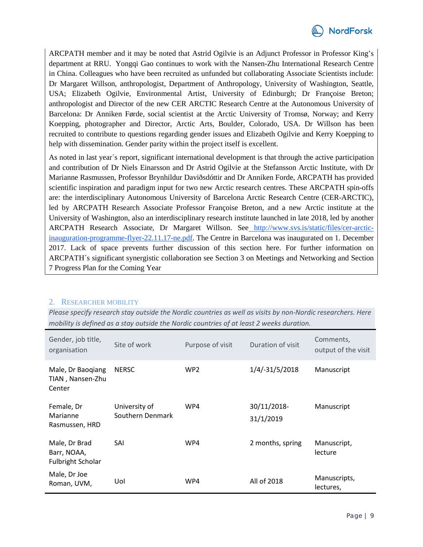

ARCPATH member and it may be noted that Astrid Ogilvie is an Adjunct Professor in Professor King's department at RRU. Yongqi Gao continues to work with the Nansen-Zhu International Research Centre in China. Colleagues who have been recruited as unfunded but collaborating Associate Scientists include: Dr Margaret Willson, anthropologist, Department of Anthropology, University of Washington, Seattle, USA; Elizabeth Ogilvie, Environmental Artist, University of Edinburgh; Dr Françoise Breton; anthropologist and Director of the new CER ARCTIC Research Centre at the Autonomous University of Barcelona: Dr Anniken Førde, social scientist at the Arctic University of Tromsø, Norway; and Kerry Koepping, photographer and Director, Arctic Arts, Boulder, Colorado, USA. Dr Willson has been recruited to contribute to questions regarding gender issues and Elizabeth Ogilvie and Kerry Koepping to help with dissemination. Gender parity within the project itself is excellent.

As noted in last year´s report, significant international development is that through the active participation and contribution of Dr Niels Einarsson and Dr Astrid Ogilvie at the Stefansson Arctic Institute, with Dr Marianne Rasmussen, Professor Brynhildur Daviðsdóttir and Dr Anniken Forde, ARCPATH has provided scientific inspiration and paradigm input for two new Arctic research centres. These ARCPATH spin-offs are: the interdisciplinary Autonomous University of Barcelona Arctic Research Centre (CER-ARCTIC), led by ARCPATH Research Associate Professor Françoise Breton, and a new Arctic institute at the University of Washington, also an interdisciplinary research institute launched in late 2018, led by another ARCPATH Research Associate, Dr Margaret Willson. See [http://www.svs.is/static/files/cer-arctic](http://secure-web.cisco.com/1g-E5ymnqrm6Fu45nmUoVMnzZuwEB_8goK6wjQtXrBcameJIwsToQX1-NLlnl-eeNq9xO01duX_LYOccvWp_a9j3YtQ5IZlM1Trf-m8-Zg6kFh8-t4YeIULUsNrHyzUS45aYuEdhREDZi_03AajIaWW-tUR7wT-VxsIoPMngxNDz3oLtX3VZatztp1zRFwA-BlbR7lImrhZmf67fO-uORXY_8RvX5yCVBiX4ajbL_XVVSPI56373nD0lUnRx2aEdvMUrFtvPbsuw_b-NP-XV1nXnn4s7Fbpcv6xc7yXNTsVhkBmkHJY4i5plU_5HFj8c3z58qnG0gWeLbr7rwFx9774QtuMsqFUcitQ72aK_OGBZnfa5c1v5fxAW9h_6rtIdc0-WwngBrDlS2HvFcOquEkCMicHodus8BfHH4YmNT3yFJO86WMGfdBeHjGFnug93m6_26LjHNRSB314PJJFEs8A/http%3A%2F%2Fwww.svs.is%2Fstatic%2Ffiles%2Fcer-arctic-inauguration-programme-flyer-22.11.17-ne.pdf)[inauguration-programme-flyer-22.11.17-ne.pdf.](http://secure-web.cisco.com/1g-E5ymnqrm6Fu45nmUoVMnzZuwEB_8goK6wjQtXrBcameJIwsToQX1-NLlnl-eeNq9xO01duX_LYOccvWp_a9j3YtQ5IZlM1Trf-m8-Zg6kFh8-t4YeIULUsNrHyzUS45aYuEdhREDZi_03AajIaWW-tUR7wT-VxsIoPMngxNDz3oLtX3VZatztp1zRFwA-BlbR7lImrhZmf67fO-uORXY_8RvX5yCVBiX4ajbL_XVVSPI56373nD0lUnRx2aEdvMUrFtvPbsuw_b-NP-XV1nXnn4s7Fbpcv6xc7yXNTsVhkBmkHJY4i5plU_5HFj8c3z58qnG0gWeLbr7rwFx9774QtuMsqFUcitQ72aK_OGBZnfa5c1v5fxAW9h_6rtIdc0-WwngBrDlS2HvFcOquEkCMicHodus8BfHH4YmNT3yFJO86WMGfdBeHjGFnug93m6_26LjHNRSB314PJJFEs8A/http%3A%2F%2Fwww.svs.is%2Fstatic%2Ffiles%2Fcer-arctic-inauguration-programme-flyer-22.11.17-ne.pdf) The Centre in Barcelona was inaugurated on 1. December 2017. Lack of space prevents further discussion of this section here. For further information on ARCPATH´s significant synergistic collaboration see Section 3 on Meetings and Networking and Section 7 Progress Plan for the Coming Year

# 2. RESEARCHER MOBILITY

*Please specify research stay outside the Nordic countries as well as visits by non-Nordic researchers. Here mobility is defined as a stay outside the Nordic countries of at least 2 weeks duration.* 

| Gender, job title,<br>organisation                       | Site of work                      | Purpose of visit | Duration of visit        | Comments,<br>output of the visit |
|----------------------------------------------------------|-----------------------------------|------------------|--------------------------|----------------------------------|
| Male, Dr Baoqiang<br>TIAN, Nansen-Zhu<br>Center          | <b>NERSC</b>                      | WP <sub>2</sub>  | 1/4/-31/5/2018           | Manuscript                       |
| Female, Dr<br>Marianne<br>Rasmussen, HRD                 | University of<br>Southern Denmark | WP4              | 30/11/2018-<br>31/1/2019 | Manuscript                       |
| Male, Dr Brad<br>Barr, NOAA,<br><b>Fulbright Scholar</b> | SAI                               | WP4              | 2 months, spring         | Manuscript,<br>lecture           |
| Male, Dr Joe<br>Roman, UVM,                              | Uol                               | WP4              | All of 2018              | Manuscripts,<br>lectures,        |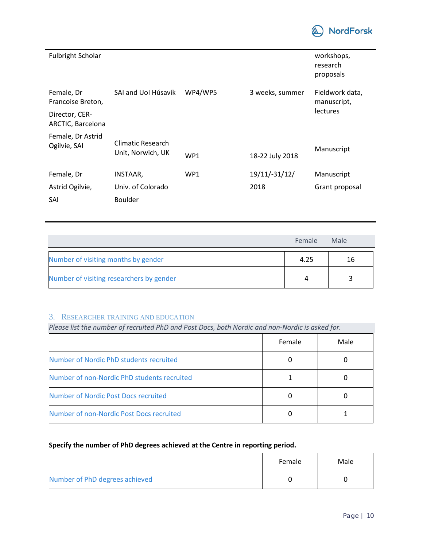

| <b>Fulbright Scholar</b>            |                                        |         |                 | workshops,<br>research<br>proposals |
|-------------------------------------|----------------------------------------|---------|-----------------|-------------------------------------|
| Female, Dr<br>Francoise Breton,     | SAI and UoI Húsavík                    | WP4/WP5 | 3 weeks, summer | Fieldwork data,<br>manuscript,      |
| Director, CER-<br>ARCTIC, Barcelona |                                        |         |                 | <b>lectures</b>                     |
| Female, Dr Astrid<br>Ogilvie, SAI   | Climatic Research<br>Unit, Norwich, UK | WP1     | 18-22 July 2018 | Manuscript                          |
| Female, Dr                          | INSTAAR,                               | WP1     | 19/11/-31/12/   | Manuscript                          |
| Astrid Ogilvie,                     | Univ. of Colorado                      |         | 2018            | Grant proposal                      |
| SAI                                 | <b>Boulder</b>                         |         |                 |                                     |

|                                          | Female | Male |
|------------------------------------------|--------|------|
| Number of visiting months by gender      | 4.25   | 16   |
| Number of visiting researchers by gender |        |      |

# 3. RESEARCHER TRAINING AND EDUCATION

# *Please list the number of recruited PhD and Post Docs, both Nordic and non-Nordic is asked for.*

|                                             | Female | Male |
|---------------------------------------------|--------|------|
| Number of Nordic PhD students recruited     |        |      |
| Number of non-Nordic PhD students recruited |        |      |
| Number of Nordic Post Docs recruited        |        |      |
| Number of non-Nordic Post Docs recruited    |        |      |

# **Specify the number of PhD degrees achieved at the Centre in reporting period.**

|                                | Female | Male |
|--------------------------------|--------|------|
| Number of PhD degrees achieved |        |      |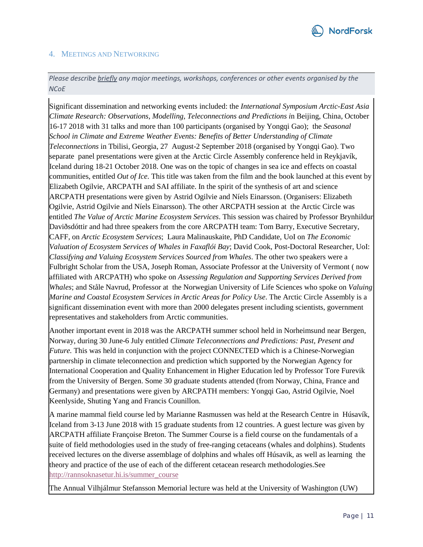

#### 4. MEETINGS AND NETWORKING

*Please describe briefly any major meetings, workshops, conferences or other events organised by the NCoE* 

Significant dissemination and networking events included: the *International Symposium Arctic-East Asia Climate Research: Observations, Modelling, Teleconnections and Predictions i*n Beijing, China, October 16-17 2018 with 31 talks and more than 100 participants (organised by Yongqi Gao); the *Seasonal School in Climate and Extreme Weather Events: Benefits of Better Understanding of Climate Teleconnections* in Tbilisi, Georgia, 27 August-2 September 2018 (organised by Yongqi Gao). Two separate panel presentations were given at the Arctic Circle Assembly conference held in Reykjavík, Iceland during 18-21 October 2018. One was on the topic of changes in sea ice and effects on coastal communities, entitled *Out of Ice.* This title was taken from the film and the book launched at this event by Elizabeth Ogilvie, ARCPATH and SAI affiliate. In the spirit of the synthesis of art and science ARCPATH presentations were given by Astrid Ogilvie and Níels Einarsson. (Organisers: Elizabeth Ogilvie, Astrid Ogilvie and Níels Einarsson). The other ARCPATH session at the Arctic Circle was entitled *The Value of Arctic Marine Ecosystem Services*. This session was chaired by Professor Brynhildur Daviðsdóttir and had three speakers from the core ARCPATH team: Tom Barry, Executive Secretary, CAFF, on *Arctic Ecosystem Services*; Laura Malinauskaite, PhD Candidate, UoI on *The Economic Valuation of Ecosystem Services of Whales in Faxaflói Bay*; David Cook, Post-Doctoral Researcher, UoI: *Classifying and Valuing Ecosystem Services Sourced from Whales*. The other two speakers were a Fulbright Scholar from the USA, Joseph Roman, Associate Professor at the University of Vermont ( now affiliated with ARCPATH) who spoke on *Assessing Regulation and Supporting Services Derived from Whales*; and Ståle Navrud, Professor at the Norwegian University of Life Sciences who spoke on *Valuing Marine and Coastal Ecosystem Services in Arctic Areas for Policy Use*. The Arctic Circle Assembly is a significant dissemination event with more than 2000 delegates present including scientists, government representatives and stakeholders from Arctic communities.

Another important event in 2018 was the ARCPATH summer school held in Norheimsund near Bergen, Norway, during 30 June-6 July entitled *Climate Teleconnections and Predictions: Past, Present and Future.* This was held in conjunction with the project CONNECTED which is a Chinese-Norwegian partnership in climate teleconnection and prediction which supported by the Norwegian Agency for International Cooperation and Quality Enhancement in Higher Education led by Professor Tore Furevik from the University of Bergen. Some 30 graduate students attended (from Norway, China, France and Germany) and presentations were given by ARCPATH members: Yongqi Gao, Astrid Ogilvie, Noel Keenlyside, Shuting Yang and Francis Counillon.

A marine mammal field course led by Marianne Rasmussen was held at the Research Centre in Húsavík, Iceland from 3-13 June 2018 with 15 graduate students from 12 countries. A guest lecture was given by ARCPATH affiliate Françoise Breton. The Summer Course is a field course on the fundamentals of a suite of field methodologies used in the study of free-ranging cetaceans (whales and dolphins). Students received lectures on the diverse assemblage of dolphins and whales off Húsavik, as well as learning the theory and practice of the use of each of the different cetacean research methodologies.See [http://rannsoknasetur.hi.is/summer\\_course](http://rannsoknasetur.hi.is/summer_course)

The Annual Vilhjálmur Stefansson Memorial lecture was held at the University of Washington (UW)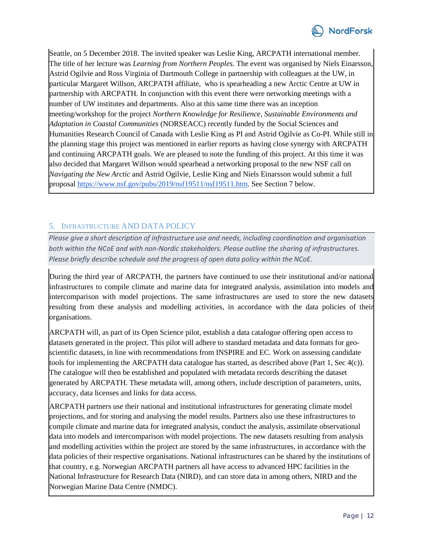

Seattle, on 5 December 2018. The invited speaker was Leslie King, ARCPATH international member. The title of her lecture was *Learning from Northern Peoples*. The event was organised by Níels Einarsson, Astrid Ogilvie and Ross Virginia of Dartmouth College in partnership with colleagues at the UW, in particular Margaret Willson, ARCPATH affiliate, who is spearheading a new Arctic Centre at UW in partnership with ARCPATH. In conjunction with this event there were networking meetings with a number of UW institutes and departments. Also at this same time there was an inception meeting/workshop for the project *Northern Knowledge for Resilience, Sustainable Environments and Adaptation in Coastal Communities* (NORSEACC) recently funded by the Social Sciences and Humanities Research Council of Canada with Leslie King as PI and Astrid Ogilvie as Co-PI. While still in the planning stage this project was mentioned in earlier reports as having close synergy with ARCPATH and continuing ARCPATH goals. We are pleased to note the funding of this project. At this time it was also decided that Margaret Willson would spearhead a networking proposal to the new NSF call on *Navigating the New Arctic* and Astrid Ogilvie, Leslie King and Níels Einarsson would submit a full proposal [https://www.nsf.gov/pubs/2019/nsf19511/nsf19511.htm.](https://www.nsf.gov/pubs/2019/nsf19511/nsf19511.htm) See Section 7 below.

# 5. INFRASTRUCTURE AND DATA POLICY

*Please give a short description of infrastructure use and needs, including coordination and organisation both within the NCoE and with non-Nordic stakeholders. Please outline the sharing of infrastructures. Please briefly describe schedule and the progress of open data policy within the NCoE.* 

During the third year of ARCPATH, the partners have continued to use their institutional and/or national infrastructures to compile climate and marine data for integrated analysis, assimilation into models and intercomparison with model projections. The same infrastructures are used to store the new datasets resulting from these analysis and modelling activities, in accordance with the data policies of their organisations.

ARCPATH will, as part of its Open Science pilot, establish a data catalogue offering open access to datasets generated in the project. This pilot will adhere to standard metadata and data formats for geoscientific datasets, in line with recommendations from INSPIRE and EC. Work on assessing candidate tools for implementing the ARCPATH data catalogue has started, as described above (Part 1, Sec 4(c)). The catalogue will then be established and populated with metadata records describing the dataset generated by ARCPATH. These metadata will, among others, include description of parameters, units, accuracy, data licenses and links for data access.

ARCPATH partners use their national and institutional infrastructures for generating climate model projections, and for storing and analysing the model results. Partners also use these infrastructures to compile climate and marine data for integrated analysis, conduct the analysis, assimilate observational data into models and intercomparison with model projections. The new datasets resulting from analysis and modelling activities within the project are stored by the same infrastructures, in accordance with the data policies of their respective organisations. National infrastructures can be shared by the institutions of that country, e.g. Norwegian ARCPATH partners all have access to advanced HPC facilities in the National Infrastructure for Research Data (NIRD), and can store data in among others, NIRD and the Norwegian Marine Data Centre (NMDC).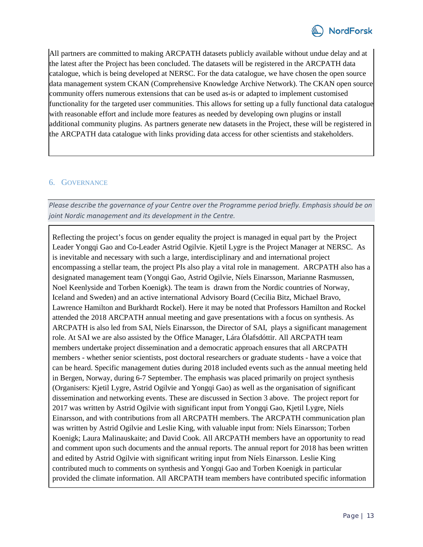

All partners are committed to making ARCPATH datasets publicly available without undue delay and at the latest after the Project has been concluded. The datasets will be registered in the ARCPATH data catalogue, which is being developed at NERSC. For the data catalogue, we have chosen the open source data management system CKAN (Comprehensive Knowledge Archive Network). The CKAN open source community offers numerous extensions that can be used as-is or adapted to implement customised functionality for the targeted user communities. This allows for setting up a fully functional data catalogue with reasonable effort and include more features as needed by developing own plugins or install additional community plugins. As partners generate new datasets in the Project, these will be registered in the ARCPATH data catalogue with links providing data access for other scientists and stakeholders.

# 6. GOVERNANCE

*Please describe the governance of your Centre over the Programme period briefly. Emphasis should be on joint Nordic management and its development in the Centre.* 

Reflecting the project's focus on gender equality the project is managed in equal part by the Project Leader Yongqi Gao and Co-Leader Astrid Ogilvie. Kjetil Lygre is the Project Manager at NERSC. As is inevitable and necessary with such a large, interdisciplinary and and international project encompassing a stellar team, the project PIs also play a vital role in management. ARCPATH also has a designated management team (Yongqi Gao, Astrid Ogilvie, Níels Einarsson, Marianne Rasmussen, Noel Keenlyside and Torben Koenigk). The team is drawn from the Nordic countries of Norway, Iceland and Sweden) and an active international Advisory Board (Cecilia Bitz, Michael Bravo, Lawrence Hamilton and Burkhardt Rockel). Here it may be noted that Professors Hamilton and Rockel attended the 2018 ARCPATH annual meeting and gave presentations with a focus on synthesis. As ARCPATH is also led from SAI, Níels Einarsson, the Director of SAI, plays a significant management role. At SAI we are also assisted by the Office Manager, Lára Ólafsdóttir. All ARCPATH team members undertake project dissemination and a democratic approach ensures that all ARCPATH members - whether senior scientists, post doctoral researchers or graduate students - have a voice that can be heard. Specific management duties during 2018 included events such as the annual meeting held in Bergen, Norway, during 6-7 September. The emphasis was placed primarily on project synthesis (Organisers: Kjetil Lygre, Astrid Ogilvie and Yongqi Gao) as well as the organisation of significant dissemination and networking events. These are discussed in Section 3 above. The project report for 2017 was written by Astrid Ogilvie with significant input from Yongqi Gao, Kjetil Lygre, Níels Einarsson, and with contributions from all ARCPATH members. The ARCPATH communication plan was written by Astrid Ogilvie and Leslie King, with valuable input from: Níels Einarsson; Torben Koenigk; Laura Malinauskaite; and David Cook. All ARCPATH members have an opportunity to read and comment upon such documents and the annual reports. The annual report for 2018 has been written and edited by Astrid Ogilvie with significant writing input from Níels Einarsson. Leslie King contributed much to comments on synthesis and Yongqi Gao and Torben Koenigk in particular provided the climate information. All ARCPATH team members have contributed specific information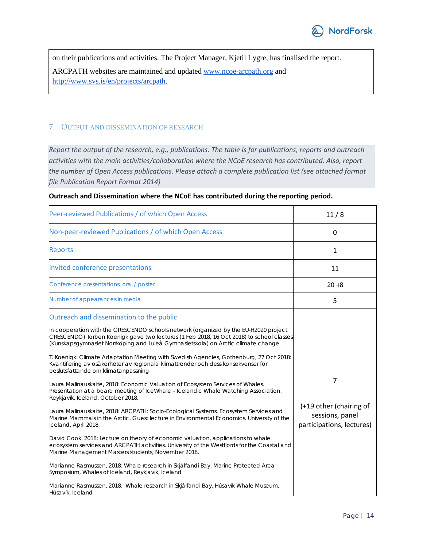

on their publications and activities. The Project Manager, Kjetil Lygre, has finalised the report. ARCPATH websites are maintained and updated [www.ncoe-arcpath.org](http://www.ncoe-arcpath.org/) and [http://www.svs.is/en/projects/arcpath.](http://www.svs.is/en/projects/arcpath)

## 7. OUTPUT AND DISSEMINATION OF RESEARCH

*Report the output of the research, e.g., publications. The table is for publications, reports and outreach activities with the main activities/collaboration where the NCoE research has contributed. Also, report the number of Open Access publications. Please attach a complete publication list (see attached format file Publication Report Format 2014)*

| Peer-reviewed Publications / of which Open Access                                                                                                                                                                                                                                                                                                                                                                                                                                                                                                                                                                                                                                                                                                                                                                                                                                                                                                                                                                                                                                                                                                                                                                                                                                                                                                                                                                                                            | 11/8                                                                         |
|--------------------------------------------------------------------------------------------------------------------------------------------------------------------------------------------------------------------------------------------------------------------------------------------------------------------------------------------------------------------------------------------------------------------------------------------------------------------------------------------------------------------------------------------------------------------------------------------------------------------------------------------------------------------------------------------------------------------------------------------------------------------------------------------------------------------------------------------------------------------------------------------------------------------------------------------------------------------------------------------------------------------------------------------------------------------------------------------------------------------------------------------------------------------------------------------------------------------------------------------------------------------------------------------------------------------------------------------------------------------------------------------------------------------------------------------------------------|------------------------------------------------------------------------------|
| Non-peer-reviewed Publications / of which Open Access                                                                                                                                                                                                                                                                                                                                                                                                                                                                                                                                                                                                                                                                                                                                                                                                                                                                                                                                                                                                                                                                                                                                                                                                                                                                                                                                                                                                        | 0                                                                            |
| <b>Reports</b>                                                                                                                                                                                                                                                                                                                                                                                                                                                                                                                                                                                                                                                                                                                                                                                                                                                                                                                                                                                                                                                                                                                                                                                                                                                                                                                                                                                                                                               | 1                                                                            |
| Invited conference presentations                                                                                                                                                                                                                                                                                                                                                                                                                                                                                                                                                                                                                                                                                                                                                                                                                                                                                                                                                                                                                                                                                                                                                                                                                                                                                                                                                                                                                             | 11                                                                           |
| Conference presentations, oral / poster                                                                                                                                                                                                                                                                                                                                                                                                                                                                                                                                                                                                                                                                                                                                                                                                                                                                                                                                                                                                                                                                                                                                                                                                                                                                                                                                                                                                                      | $20 + 8$                                                                     |
| Number of appearances in media                                                                                                                                                                                                                                                                                                                                                                                                                                                                                                                                                                                                                                                                                                                                                                                                                                                                                                                                                                                                                                                                                                                                                                                                                                                                                                                                                                                                                               | 5                                                                            |
| Outreach and dissemination to the public<br>In cooperation with the CRESCENDO schools network (organized by the EU-H2020 project<br>CRESCENDO) Torben Koenigk gave two lectures (1 Feb 2018, 16 Oct 2018) to school classes<br>(Kunskapsgymnasiet Norrköping and Luleå Gymnasietskola) on Arctic climate change.<br>T. Koenigk: Climate Adaptation Meeting with Swedish Agencies, Gothenburg, 27 Oct 2018:<br>Kvantifiering av osäkerheter av regionala klimattrender och dess konsekvenser för<br>beslutsfattande om klimatanpassning<br>Laura Malinauskaite, 2018: Economic Valuation of Ecosystem Services of Whales.<br>Presentation at a board meeting of IceWhale - Icelandic Whale Watching Association.<br>Reykjavík, Iceland, October 2018.<br>Laura Malinauskaite, 2018: ARCPATH: Socio-Ecological Systems, Ecosystem Services and<br>Marine Mammals in the Arctic. Guest lecture in Environmental Economics. University of the<br>Iceland, April 2018.<br>David Cook, 2018: Lecture on theory of economic valuation, applications to whale<br>ecosystem services and ARCPATH activities. University of the Westfjords for the Coastal and<br>Marine Management Masters students, November 2018.<br>Marianne Rasmussen, 2018: Whale research in Skjálfandi Bay, Marine Protected Area<br>Symposium, Whales of Iceland, Reykjavik, Iceland<br>Marianne Rasmussen, 2018: Whale research in Skjálfandi Bay, Húsavík Whale Museum,<br>Húsavík, Iceland | 7<br>(+19 other (chairing of<br>sessions, panel<br>participations, lectures) |

#### **Outreach and Dissemination where the NCoE has contributed during the reporting period.**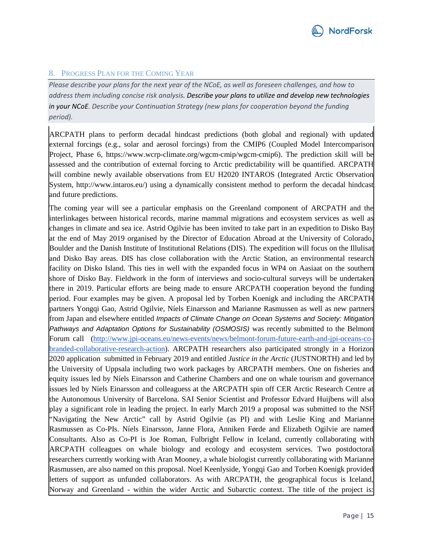

## 8. PROGRESS PLAN FOR THE COMING YEAR

*Please describe your plans for the next year of the NCoE, as well as foreseen challenges, and how to address them including concise risk analysis. Describe your plans to utilize and develop new technologies in your NCoE. Describe your Continuation Strategy (new plans for cooperation beyond the funding period).*

ARCPATH plans to perform decadal hindcast predictions (both global and regional) with updated external forcings (e.g., solar and aerosol forcings) from the CMIP6 (Coupled Model Intercomparison Project, Phase 6, https://www.wcrp-climate.org/wgcm-cmip/wgcm-cmip6). The prediction skill will be assessed and the contribution of external forcing to Arctic predictability will be quantified. ARCPATH will combine newly available observations from EU H2020 INTAROS (Integrated Arctic Observation System, http://www.intaros.eu/) using a dynamically consistent method to perform the decadal hindcast and future predictions.

The coming year will see a particular emphasis on the Greenland component of ARCPATH and the interlinkages between historical records, marine mammal migrations and ecosystem services as well as changes in climate and sea ice. Astrid Ogilvie has been invited to take part in an expedition to Disko Bay at the end of May 2019 organised by the Director of Education Abroad at the University of Colorado, Boulder and the Danish Institute of Institutional Relations (DIS). The expedition will focus on the Illulisat and Disko Bay areas. DIS has close collaboration with the Arctic Station, an environmental research facility on Disko Island. This ties in well with the expanded focus in WP4 on Aasiaat on the southern shore of Disko Bay. Fieldwork in the form of interviews and socio-cultural surveys will be undertaken there in 2019. Particular efforts are being made to ensure ARCPATH cooperation beyond the funding period. Four examples may be given. A proposal led by Torben Koenigk and including the ARCPATH partners Yongqi Gao, Astrid Ogilvie, Níels Einarsson and Marianne Rasmussen as well as new partners from Japan and elsewhere entitled *Impacts of Climate Change on Ocean Systems and Society: Mitigation Pathways and Adaptation Options for Sustainability (OSMOSIS)* was recently submitted to the Belmont Forum call [\(http://www.jpi-oceans.eu/news-events/news/belmont-forum-future-earth-and-jpi-oceans-co](http://www.jpi-oceans.eu/news-events/news/belmont-forum-future-earth-and-jpi-oceans-co-branded-collaborative-research-action)[branded-collaborative-research-action\)](http://www.jpi-oceans.eu/news-events/news/belmont-forum-future-earth-and-jpi-oceans-co-branded-collaborative-research-action). ARCPATH researchers also participated strongly in a Horizon 2020 application submitted in February 2019 and entitled *Justice in the Arctic* (JUSTNORTH) and led by the University of Uppsala including two work packages by ARCPATH members. One on fisheries and equity issues led by Níels Einarsson and Catherine Chambers and one on whale tourism and governance issues led by Níels Einarsson and colleaguess at the ARCPATH spin off CER Arctic Research Centre at the Autonomous University of Barcelona. SAI Senior Scientist and Professor Edvard Huijbens will also play a significant role in leading the project. In early March 2019 a proposal was submitted to the NSF "Navigating the New Arctic" call by Astrid Ogilvie (as PI) and with Leslie King and Marianne Rasmussen as Co-PIs. Níels Einarsson, Janne Flora, Anniken Førde and Elizabeth Ogilvie are named Consultants. Also as Co-PI is Joe Roman, Fulbright Fellow in Iceland, currently collaborating with ARCPATH colleagues on whale biology and ecology and ecosystem services. Two postdoctoral researchers currently working with Aran Mooney, a whale biologist currently collaborating with Marianne Rasmussen, are also named on this proposal. Noel Keenlyside, Yongqi Gao and Torben Koenigk provided letters of support as unfunded collaborators. As with ARCPATH, the geographical focus is Iceland, Norway and Greenland - within the wider Arctic and Subarctic context. The title of the project is: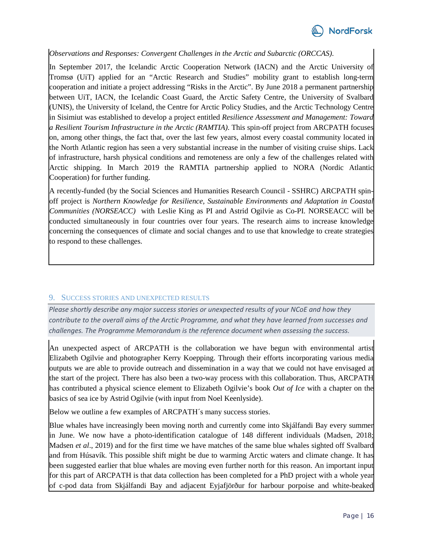

# *Observations and Responses: Convergent Challenges in the Arctic and Subarctic (ORCCAS)*.

In September 2017, the Icelandic Arctic Cooperation Network (IACN) and the Arctic University of Tromsø (UiT) applied for an "Arctic Research and Studies" mobility grant to establish long-term cooperation and initiate a project addressing "Risks in the Arctic". By June 2018 a permanent partnership between UiT, IACN, the Icelandic Coast Guard, the Arctic Safety Centre, the University of Svalbard (UNIS), the University of Iceland, the Centre for Arctic Policy Studies, and the Arctic Technology Centre in Sisimiut was established to develop a project entitled *Resilience Assessment and Management: Toward a Resilient Tourism Infrastructure in the Arctic (RAMTIA)*. This spin-off project from ARCPATH focuses on, among other things, the fact that, over the last few years, almost every coastal community located in the North Atlantic region has seen a very substantial increase in the number of visiting cruise ships. Lack of infrastructure, harsh physical conditions and remoteness are only a few of the challenges related with Arctic shipping. In March 2019 the RAMTIA partnership applied to NORA (Nordic Atlantic Cooperation) for further funding.

A recently-funded (by the Social Sciences and Humanities Research Council - SSHRC) ARCPATH spinoff project is *Northern Knowledge for Resilience, Sustainable Environments and Adaptation in Coastal Communities (NORSEACC)* with Leslie King as PI and Astrid Ogilvie as Co-PI. NORSEACC will be conducted simultaneously in four countries over four years. The research aims to increase knowledge concerning the consequences of climate and social changes and to use that knowledge to create strategies to respond to these challenges.

#### 9. SUCCESS STORIES AND UNEXPECTED RESULTS

*Please shortly describe any major success stories or unexpected results of your NCoE and how they contribute to the overall aims of the Arctic Programme, and what they have learned from successes and challenges. The Programme Memorandum is the reference document when assessing the success.* 

An unexpected aspect of ARCPATH is the collaboration we have begun with environmental artist Elizabeth Ogilvie and photographer Kerry Koepping. Through their efforts incorporating various media outputs we are able to provide outreach and dissemination in a way that we could not have envisaged at the start of the project. There has also been a two-way process with this collaboration. Thus, ARCPATH has contributed a physical science element to Elizabeth Ogilvie's book *Out of Ice* with a chapter on the basics of sea ice by Astrid Ogilvie (with input from Noel Keenlyside).

Below we outline a few examples of ARCPATH´s many success stories.

Blue whales have increasingly been moving north and currently come into Skjálfandi Bay every summer in June. We now have a photo-identification catalogue of 148 different individuals (Madsen, 2018; Madsen *et al*., 2019) and for the first time we have matches of the same blue whales sighted off Svalbard and from Húsavík. This possible shift might be due to warming Arctic waters and climate change. It has been suggested earlier that blue whales are moving even further north for this reason. An important input for this part of ARCPATH is that data collection has been completed for a PhD project with a whole year of c-pod data from Skjálfandi Bay and adjacent Eyjafjörður for harbour porpoise and white-beaked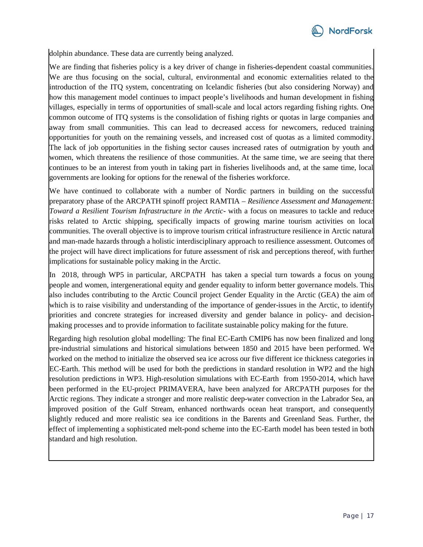

dolphin abundance. These data are currently being analyzed.

We are finding that fisheries policy is a key driver of change in fisheries-dependent coastal communities. We are thus focusing on the social, cultural, environmental and economic externalities related to the introduction of the ITQ system, concentrating on Icelandic fisheries (but also considering Norway) and how this management model continues to impact people's livelihoods and human development in fishing villages, especially in terms of opportunities of small-scale and local actors regarding fishing rights. One common outcome of ITQ systems is the consolidation of fishing rights or quotas in large companies and away from small communities. This can lead to decreased access for newcomers, reduced training opportunities for youth on the remaining vessels, and increased cost of quotas as a limited commodity. The lack of job opportunities in the fishing sector causes increased rates of outmigration by youth and women, which threatens the resilience of those communities. At the same time, we are seeing that there continues to be an interest from youth in taking part in fisheries livelihoods and, at the same time, local governments are looking for options for the renewal of the fisheries workforce.

We have continued to collaborate with a number of Nordic partners in building on the successful preparatory phase of the ARCPATH spinoff project RAMTIA – *Resilience Assessment and Management: Toward a Resilient Tourism Infrastructure in the Arctic*- with a focus on measures to tackle and reduce risks related to Arctic shipping, specifically impacts of growing marine tourism activities on local communities. The overall objective is to improve tourism critical infrastructure resilience in Arctic natural and man-made hazards through a holistic interdisciplinary approach to resilience assessment. Outcomes of the project will have direct implications for future assessment of risk and perceptions thereof, with further implications for sustainable policy making in the Arctic.

In 2018, through WP5 in particular, ARCPATH has taken a special turn towards a focus on young people and women, intergenerational equity and gender equality to inform better governance models. This also includes contributing to the Arctic Council project Gender Equality in the Arctic (GEA) the aim of which is to raise visibility and understanding of the importance of gender-issues in the Arctic, to identify priorities and concrete strategies for increased diversity and gender balance in policy- and decisionmaking processes and to provide information to facilitate sustainable policy making for the future.

Regarding high resolution global modelling: The final EC-Earth CMIP6 has now been finalized and long pre-industrial simulations and historical simulations between 1850 and 2015 have been performed. We worked on the method to initialize the observed sea ice across our five different ice thickness categories in EC-Earth. This method will be used for both the predictions in standard resolution in WP2 and the high resolution predictions in WP3. High-resolution simulations with EC-Earth from 1950-2014, which have been performed in the EU-project PRIMAVERA, have been analyzed for ARCPATH purposes for the Arctic regions. They indicate a stronger and more realistic deep-water convection in the Labrador Sea, an improved position of the Gulf Stream, enhanced northwards ocean heat transport, and consequently slightly reduced and more realistic sea ice conditions in the Barents and Greenland Seas. Further, the effect of implementing a sophisticated melt-pond scheme into the EC-Earth model has been tested in both standard and high resolution.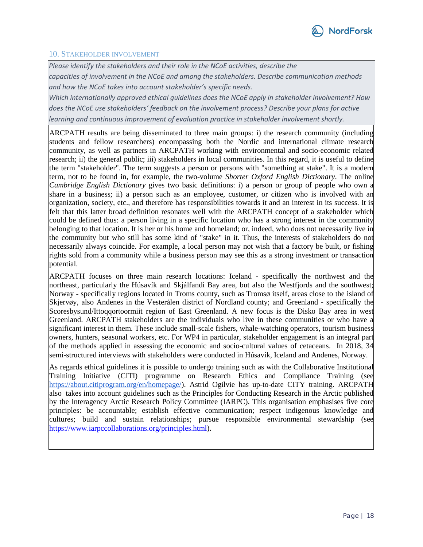#### 10. STAKEHOLDER INVOLVEMENT

*Please identify the stakeholders and their role in the NCoE activities, describe the* 

*capacities of involvement in the NCoE and among the stakeholders. Describe communication methods and how the NCoE takes into account stakeholder's specific needs.* 

*Which internationally approved ethical guidelines does the NCoE apply in stakeholder involvement? How does the NCoE use stakeholders' feedback on the involvement process? Describe your plans for active learning and continuous improvement of evaluation practice in stakeholder involvement shortly.* 

ARCPATH results are being disseminated to three main groups: i) the research community (including students and fellow researchers) encompassing both the Nordic and international climate research community, as well as partners in ARCPATH working with environmental and socio-economic related research; ii) the general public; iii) stakeholders in local communities. In this regard, it is useful to define the term "stakeholder". The term suggests a person or persons with "something at stake". It is a modern term, not to be found in, for example, the two-volume *Shorter Oxford English Dictionary*. The online *Cambridge English Dictionary* gives two basic definitions: i) a person or group of people who own a share in a business; ii) a person such as an employee, customer, or citizen who is involved with an organization, society, etc., and therefore has responsibilities towards it and an interest in its success. It is felt that this latter broad definition resonates well with the ARCPATH concept of a stakeholder which could be defined thus: a person living in a specific location who has a strong interest in the community belonging to that location. It is her or his home and homeland; or, indeed, who does not necessarily live in the community but who still has some kind of "stake" in it. Thus, the interests of stakeholders do not necessarily always coincide. For example, a local person may not wish that a factory be built, or fishing rights sold from a community while a business person may see this as a strong investment or transaction potential.

ARCPATH focuses on three main research locations: Iceland - specifically the northwest and the northeast, particularly the Húsavík and Skjálfandi Bay area, but also the Westfjords and the southwest; Norway - specifically regions located in Troms county, such as Tromsø itself, areas close to the island of Skjervøy, also Andenes in the Vesterålen district of Nordland county; and Greenland - specifically the Scoresbysund/Ittoqqortoormiit region of East Greenland. A new focus is the Disko Bay area in west Greenland. ARCPATH stakeholders are the individuals who live in these communities or who have a significant interest in them. These include small-scale fishers, whale-watching operators, tourism business owners, hunters, seasonal workers, etc. For WP4 in particular, stakeholder engagement is an integral part of the methods applied in assessing the economic and socio-cultural values of cetaceans. In 2018, 34 semi-structured interviews with stakeholders were conducted in Húsavík, Iceland and Andenes, Norway.

As regards ethical guidelines it is possible to undergo training such as with the Collaborative Institutional Training Initiative (CITI) programme on Research Ethics and Compliance Training (see [https://about.citiprogram.org/en/homepage/\)](https://about.citiprogram.org/en/homepage/). Astrid Ogilvie has up-to-date CITY training. ARCPATH also takes into account guidelines such as the Principles for Conducting Research in the Arctic published by the Interagency Arctic Research Policy Committee (IARPC). This organisation emphasises five core principles: be accountable; establish effective communication; respect indigenous knowledge and cultures; build and sustain relationships; pursue responsible environmental stewardship (see [https://www.iarpccollaborations.org/principles.html\)](https://www.iarpccollaborations.org/principles.html).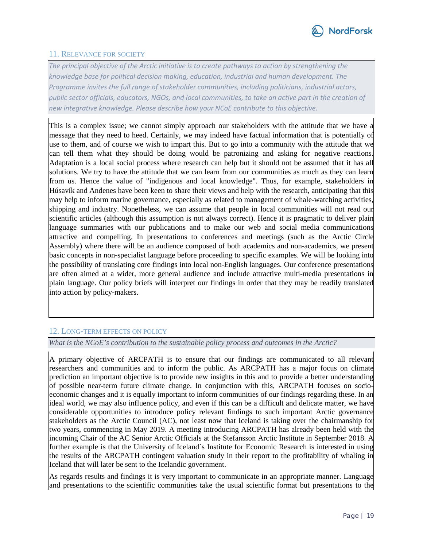

## 11. RELEVANCE FOR SOCIETY

*The principal objective of the Arctic initiative is to create pathways to action by strengthening the knowledge base for political decision making, education, industrial and human development. The Programme invites the full range of stakeholder communities, including politicians, industrial actors, public sector officials, educators, NGOs, and local communities, to take an active part in the creation of new integrative knowledge. Please describe how your NCoE contribute to this objective.*

This is a complex issue; we cannot simply approach our stakeholders with the attitude that we have a message that they need to heed. Certainly, we may indeed have factual information that is potentially of use to them, and of course we wish to impart this. But to go into a community with the attitude that we can tell them what they should be doing would be patronizing and asking for negative reactions. Adaptation is a local social process where research can help but it should not be assumed that it has all solutions. We try to have the attitude that we can learn from our communities as much as they can learn from us. Hence the value of "indigenous and local knowledge". Thus, for example, stakeholders in Húsavík and Andenes have been keen to share their views and help with the research, anticipating that this may help to inform marine governance, especially as related to management of whale-watching activities, shipping and industry. Nonetheless, we can assume that people in local communities will not read our scientific articles (although this assumption is not always correct). Hence it is pragmatic to deliver plain language summaries with our publications and to make our web and social media communications attractive and compelling. In presentations to conferences and meetings (such as the Arctic Circle Assembly) where there will be an audience composed of both academics and non-academics, we present basic concepts in non-specialist language before proceeding to specific examples. We will be looking into the possibility of translating core findings into local non-English languages. Our conference presentations are often aimed at a wider, more general audience and include attractive multi-media presentations in plain language. Our policy briefs will interpret our findings in order that they may be readily translated into action by policy-makers.

# 12. LONG-TERM EFFECTS ON POLICY

*What is the NCoE's contribution to the sustainable policy process and outcomes in the Arctic?* 

A primary objective of ARCPATH is to ensure that our findings are communicated to all relevant researchers and communities and to inform the public. As ARCPATH has a major focus on climate prediction an important objective is to provide new insights in this and to provide a better understanding of possible near-term future climate change. In conjunction with this, ARCPATH focuses on socioeconomic changes and it is equally important to inform communities of our findings regarding these. In an ideal world, we may also influence policy, and even if this can be a difficult and delicate matter, we have considerable opportunities to introduce policy relevant findings to such important Arctic governance stakeholders as the Arctic Council (AC), not least now that Iceland is taking over the chairmanship for two years, commencing in May 2019. A meeting introducing ARCPATH has already been held with the incoming Chair of the AC Senior Arctic Officials at the Stefansson Arctic Institute in September 2018. A further example is that the University of Iceland´s Institute for Economic Research is interested in using the results of the ARCPATH contingent valuation study in their report to the profitability of whaling in Iceland that will later be sent to the Icelandic government.

As regards results and findings it is very important to communicate in an appropriate manner. Language and presentations to the scientific communities take the usual scientific format but presentations to the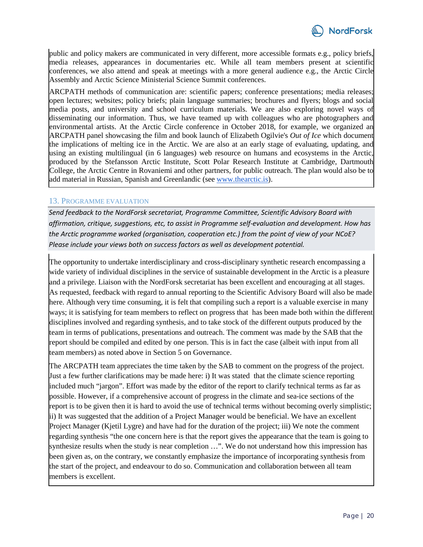

public and policy makers are communicated in very different, more accessible formats e.g., policy briefs, media releases, appearances in documentaries etc. While all team members present at scientific conferences, we also attend and speak at meetings with a more general audience e.g., the Arctic Circle Assembly and Arctic Science Ministerial Science Summit conferences.

ARCPATH methods of communication are: scientific papers; conference presentations; media releases; open lectures; websites; policy briefs; plain language summaries; brochures and flyers; blogs and social media posts, and university and school curriculum materials. We are also exploring novel ways of disseminating our information. Thus, we have teamed up with colleagues who are photographers and environmental artists. At the Arctic Circle conference in October 2018, for example, we organized an ARCPATH panel showcasing the film and book launch of Elizabeth Ogilvie's *Out of Ice* which document the implications of melting ice in the Arctic. We are also at an early stage of evaluating, updating, and using an existing multilingual (in 6 languages) web resource on humans and ecosystems in the Arctic, produced by the Stefansson Arctic Institute, Scott Polar Research Institute at Cambridge, Dartmouth College, the Arctic Centre in Rovaniemi and other partners, for public outreach. The plan would also be to add material in Russian, Spanish and Greenlandic (see [www.thearctic.is\)](http://www.thearctic.is/).

#### 13. PROGRAMME EVALUATION

*Send feedback to the NordForsk secretariat, Programme Committee, Scientific Advisory Board with affirmation, critique, suggestions, etc, to assist in Programme self-evaluation and development. How has the Arctic programme worked (organisation, cooperation etc.) from the point of view of your NCoE? Please include your views both on success factors as well as development potential.*

The opportunity to undertake interdisciplinary and cross-disciplinary synthetic research encompassing a wide variety of individual disciplines in the service of sustainable development in the Arctic is a pleasure and a privilege. Liaison with the NordForsk secretariat has been excellent and encouraging at all stages. As requested, feedback with regard to annual reporting to the Scientific Advisory Board will also be made here. Although very time consuming, it is felt that compiling such a report is a valuable exercise in many ways; it is satisfying for team members to reflect on progress that has been made both within the different disciplines involved and regarding synthesis, and to take stock of the different outputs produced by the team in terms of publications, presentations and outreach. The comment was made by the SAB that the report should be compiled and edited by one person. This is in fact the case (albeit with input from all team members) as noted above in Section 5 on Governance.

The ARCPATH team appreciates the time taken by the SAB to comment on the progress of the project. Just a few further clarifications may be made here: i) It was stated that the climate science reporting included much "jargon". Effort was made by the editor of the report to clarify technical terms as far as possible. However, if a comprehensive account of progress in the climate and sea-ice sections of the report is to be given then it is hard to avoid the use of technical terms without becoming overly simplistic; ii) It was suggested that the addition of a Project Manager would be beneficial. We have an excellent Project Manager (Kjetil Lygre) and have had for the duration of the project; iii) We note the comment regarding synthesis "the one concern here is that the report gives the appearance that the team is going to synthesize results when the study is near completion …". We do not understand how this impression has been given as, on the contrary, we constantly emphasize the importance of incorporating synthesis from the start of the project, and endeavour to do so. Communication and collaboration between all team members is excellent.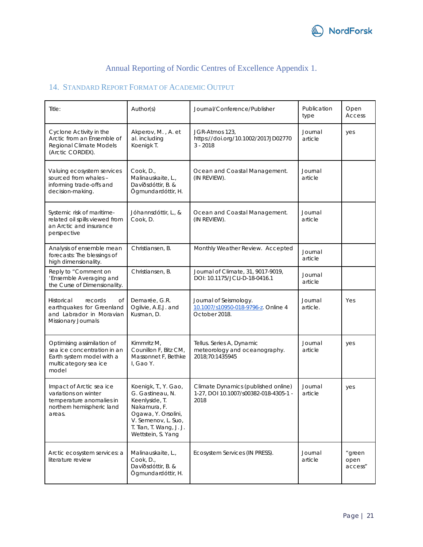

# Annual Reporting of Nordic Centres of Excellence Appendix 1.

# 14. STANDARD REPORT FORMAT OF ACADEMIC OUTPUT

| Title:                                                                                                                   | Author(s)                                                                                                                                                                 | Journal/Conference/Publisher                                                         | Publication<br>type | Open<br><b>Access</b>     |
|--------------------------------------------------------------------------------------------------------------------------|---------------------------------------------------------------------------------------------------------------------------------------------------------------------------|--------------------------------------------------------------------------------------|---------------------|---------------------------|
| Cyclone Activity in the<br>Arctic from an Ensemble of<br>Regional Climate Models<br>(Arctic CORDEX).                     | Akperov, M., A. et<br>al. including<br>Koenigk T.                                                                                                                         | JGR-Atmos 123,<br>https://doi.org/10.1002/2017JD02770<br>$3 - 2018$                  | Journal<br>article  | yes                       |
| Valuing ecosystem services<br>sourced from whales -<br>informing trade-offs and<br>decision-making.                      | Cook, D.,<br>Malinauskaite, L.,<br>Davíðsdóttir, B. &<br>Ögmundardóttir, H.                                                                                               | Ocean and Coastal Management.<br>(IN REVIEW).                                        | Journal<br>article  |                           |
| Systemic risk of maritime-<br>related oil spills viewed from<br>an Arctic and insurance<br>perspective                   | Jóhannsdóttir, L., &<br>Cook, D.                                                                                                                                          | Ocean and Coastal Management.<br>(IN REVIEW).                                        | Journal<br>article  |                           |
| Analysis of ensemble mean<br>forecasts: The blessings of<br>high dimensionality.                                         | Christiansen, B.                                                                                                                                                          | Monthly Weather Review. Accepted                                                     | Journal<br>article  |                           |
| Reply to "Comment on<br>'Ensemble Averaging and<br>the Curse of Dimensionality.                                          | Christiansen, B.                                                                                                                                                          | Journal of Climate, 31, 9017-9019,<br>DOI: 10.1175/JCLI-D-18-0416.1                  | Journal<br>article  |                           |
| Оf<br>Historical<br>records<br>earthquakes for Greenland<br>and Labrador in Moravian<br>Missionary Journals              | Demarée, G.R.<br>Ogilvie, A.E.J. and<br>Kusman, D.                                                                                                                        | Journal of Seismology.<br>10.1007/s10950-018-9796-z. Online 4<br>October 2018.       | Journal<br>article. | Yes                       |
| Optimising assimilation of<br>sea ice concentration in an<br>Earth system model with a<br>multicategory sea ice<br>model | Kimmritz M,<br>Counillon F, Bitz CM,<br>Massonnet F, Bethke<br>I. Gao Y.                                                                                                  | Tellus. Series A, Dynamic<br>meteorology and oceanography.<br>2018;70:1435945        | Journal<br>article  | yes                       |
| Impact of Arctic sea ice<br>variations on winter<br>temperature anomalies in<br>northern hemispheric land<br>areas.      | Koenigk, T., Y. Gao,<br>G. Gastineau, N.<br>Keenlyside, T.<br>Nakamura, F.<br>Ogawa, Y. Orsolini,<br>V. Semenov, L. Suo,<br>T. Tian, T. Wang, J. J.<br>Wettstein, S. Yang | Climate Dynamics (published online)<br>1-27, DOI 10.1007/s00382-018-4305-1 -<br>2018 | Journal<br>article  | yes                       |
| Arctic ecosystem services: a<br>literature review                                                                        | Malinauskaite, L.,<br>Cook, D.,<br>Davíðsdóttir, B. &<br>Ögmundardóttir, H.                                                                                               | Ecosystem Services (IN PRESS).                                                       | Journal<br>article  | "green<br>open<br>access" |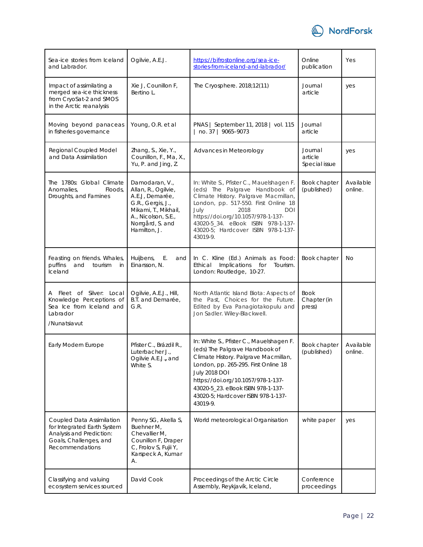

| Sea-ice stories from Iceland<br>and Labrador.                                                                                     | Ogilvie, A.E.J.                                                                                                                                                  | https://bifrostonline.org/sea-ice-<br>stories-from-iceland-and-labrador/                                                                                                                                                                                                                                              | Online<br>publication               | Yes                  |
|-----------------------------------------------------------------------------------------------------------------------------------|------------------------------------------------------------------------------------------------------------------------------------------------------------------|-----------------------------------------------------------------------------------------------------------------------------------------------------------------------------------------------------------------------------------------------------------------------------------------------------------------------|-------------------------------------|----------------------|
| Impact of assimilating a<br>merged sea-ice thickness<br>from CryoSat-2 and SMOS<br>in the Arctic reanalysis                       | Xie J, Counillon F,<br>Bertino L.                                                                                                                                | The Cryosphere. 2018;12(11)                                                                                                                                                                                                                                                                                           | Journal<br>article                  | yes                  |
| Moving beyond panaceas<br>in fisheries governance                                                                                 | Young, O.R. et al                                                                                                                                                | PNAS   September 11, 2018   vol. 115<br>no. 37   9065-9073                                                                                                                                                                                                                                                            | Journal<br>article                  |                      |
| Regional Coupled Model<br>and Data Assimilation                                                                                   | Zhang, S., Xie, Y.,<br>Counillon, F., Ma, X.,<br>Yu, P. and Jing, Z.                                                                                             | Advances in Meteorology                                                                                                                                                                                                                                                                                               | Journal<br>article<br>Special issue | yes                  |
| The 1780s: Global Climate<br>Anomalies,<br>Floods,<br>Droughts, and Famines                                                       | Damodaran, V.,<br>Allan, R., Ogilvie,<br>A.E.J, Demarée,<br>G.R., Gergis, J.,<br>Mikami, T., Mikhail,<br>A., Nicolson, S.E.,<br>Norrgård, S. and<br>Hamilton, J. | In: White S., Pfister C., Mauelshagen F.<br>(eds) The Palgrave Handbook of<br>Climate History. Palgrave Macmillan,<br>London, pp. 517-550. First Online 18<br>July<br>2018<br><b>DOI</b><br>https://doi.org/10.1057/978-1-137-<br>43020-5_34. eBook ISBN 978-1-137-<br>43020-5; Hardcover ISBN 978-1-137-<br>43019-9. | Book chapter<br>(published)         | Available<br>online. |
| Feasting on friends. Whales,<br>puffins<br>and<br>tourism<br>in<br>Iceland                                                        | Huijbens,<br>Ε.<br>and<br>Einarsson, N.                                                                                                                          | In C. Kline (Ed.) Animals as Food:<br><i>Implications</i><br>Ethical<br>for<br>Tourism.<br>London: Routledge, 10-27.                                                                                                                                                                                                  | Book chapter                        | No                   |
| A Fleet of Silver: Local<br>Knowledge Perceptions of<br>Sea Ice from Iceland and<br>Labrador<br>/Nunatsiavut                      | Ogilvie, A.E.J., Hill,<br>B.T. and Demarée,<br>G.R.                                                                                                              | North Atlantic Island Biota: Aspects of<br>the Past, Choices for the Future.<br>Edited by Eva Panagiotakopulu and<br>Jon Sadler. Wiley-Blackwell.                                                                                                                                                                     | Book<br>Chapter (in<br>press)       |                      |
| Early Modern Europe                                                                                                               | Pfister C., Brázdil R.,<br>Luterbacher J.,<br>Ogilvie A.E.J., and<br>White S.                                                                                    | In: White S., Pfister C., Mauelshagen F.<br>(eds) The Palgrave Handbook of<br>Climate History. Palgrave Macmillan,<br>London, pp. 265-295. First Online 18<br><b>July 2018 DOI</b><br>https://doi.org/10.1057/978-1-137-<br>43020-5_23. eBook ISBN 978-1-137-<br>43020-5; Hardcover ISBN 978-1-137-<br>43019-9.       | Book chapter<br>(published)         | Available<br>online. |
| Coupled Data Assimilation<br>for Integrated Earth System<br>Analysis and Prediction:<br>Goals, Challenges, and<br>Recommendations | Penny SG, Akella S,<br>Buehner M,<br>Chevallier M,<br>Counillon F, Draper<br>C, Frolov S, Fujii Y,<br>Karspeck A, Kumar<br>А.                                    | World meteorological Organisation                                                                                                                                                                                                                                                                                     | white paper                         | yes                  |
| Classifying and valuing<br>ecosystem services sourced                                                                             | David Cook                                                                                                                                                       | Proceedings of the Arctic Circle<br>Assembly, Reykjavík, Iceland,                                                                                                                                                                                                                                                     | Conference<br>proceedings           |                      |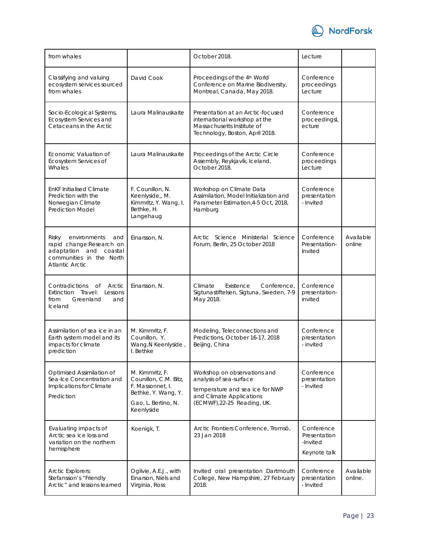

| from whales                                                                                                                       |                                                                                                                          | October 2018.                                                                                                                                         | Lecture                                                |                      |
|-----------------------------------------------------------------------------------------------------------------------------------|--------------------------------------------------------------------------------------------------------------------------|-------------------------------------------------------------------------------------------------------------------------------------------------------|--------------------------------------------------------|----------------------|
| Classifying and valuing<br>ecosystem services sourced<br>from whales                                                              | David Cook                                                                                                               | Proceedings of the 4th World<br>Conference on Marine Biodiversity,<br>Montreal, Canada, May 2018.                                                     | Conference<br>proceedings<br>Lecture                   |                      |
| Socio-Ecological Systems,<br>Ecosystem Services and<br>Cetaceans in the Arctic                                                    | Laura Malinauskaite                                                                                                      | Presentation at an Arctic-focused<br>international workshop at the<br>Massachusetts Institute of<br>Technology, Boston, April 2018.                   | Conference<br>proceedingsL<br>ecture                   |                      |
| Economic Valuation of<br>Ecosystem Services of<br>Whales                                                                          | Laura Malinauskaite                                                                                                      | Proceedings of the Arctic Circle<br>Assembly, Reykjavík, Iceland,<br>October 2018.                                                                    | Conference<br>proceedings<br>Lecture                   |                      |
| <b>EnKF Initialised Climate</b><br>Prediction with the<br>Norwegian Climate<br><b>Prediction Model</b>                            | F. Counillon, N.<br>Keenlyside,, M.<br>Kimmritz, Y. Wang, I.<br>Bethke, H.<br>Langehaug                                  | Workshop on Climate Data<br>Assimilation, Model Initialization and<br>Parameter Estimation, 4-5 Oct, 2018,<br>Hamburg                                 | Conference<br>presentation<br>- Invited                |                      |
| environments<br>Risky<br>and<br>rapid change:Research on<br>adaptation and coastal<br>communities in the North<br>Atlantic Arctic | Einarsson, N.                                                                                                            | Arctic Science Ministerial Science<br>Forum, Berlin, 25 October 2018                                                                                  | Conference<br>Presentation-<br>Invited                 | Available<br>online  |
| Contradictions<br>Оf<br>Arctic<br>Extinction Travel:<br>Lessons<br>Greenland<br>from<br>and<br>Iceland                            | Einarsson, N.                                                                                                            | Existence<br>Conference,<br>Climate<br>Sigtunastiftelsen, Sigtuna, Sweden, 7-9<br>May 2018.                                                           | Conference<br>presentation-<br>invited                 |                      |
| Assimilation of sea ice in an<br>Earth system model and its<br>impacts for climate<br>prediction                                  | M. Kimmritz, F.<br>Counillon, Y.<br>Wang, N Keenlyside,<br>I. Bethke                                                     | Modeling, Teleconnections and<br>Predictions, October 16-17, 2018<br>Beijing, China                                                                   | Conference<br>presentation<br>- invited                |                      |
| Optimised Assimilation of<br>Sea-Ice Concentration and<br>Implications for Climate<br>Prediction                                  | M. Kimmritz, F.<br>Counillon, C.M. Bitz,<br>F. Massonnet, I.<br>Bethke, Y. Wang, Y.<br>Gao, L. Bertino, N.<br>Keenlyside | Workshop on observations and<br>analysis of sea-surface<br>temperature and sea ice for NWP<br>and Climate Applications<br>(ECMWF), 22-25 Reading, UK. | Conference<br>presentation<br>- Invited                |                      |
| Evaluating impacts of<br>Arctic sea ice loss and<br>variation on the northern<br>hemisphere                                       | Koenigk, T.                                                                                                              | Arctic Frontiers Conference, Tromsö,<br>23 Jan 2018                                                                                                   | Conference<br>Presentation<br>-Invited<br>Keynote talk |                      |
| <b>Arctic Explorers:</b><br>Stefansson's "Friendly<br>Arctic" and lessons learned                                                 | Ogilvie, A.E.J., with<br>Einarson, Níels and<br>Virginia, Ross                                                           | Invited oral presentation Dartmouth<br>College, New Hampshire, 27 February<br>2018.                                                                   | Conference<br>presentation<br>- Invited                | Available<br>online. |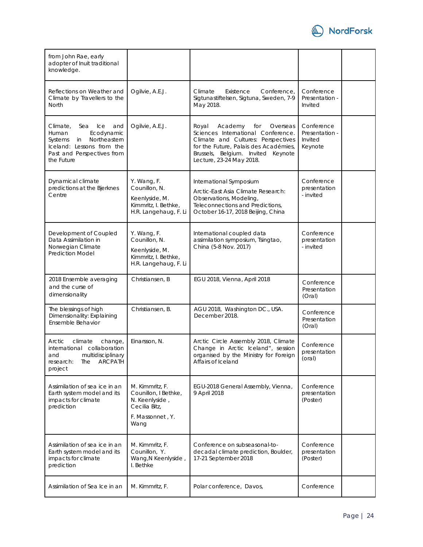

| from John Rae, early<br>adopter of Inuit traditional<br>knowledge.                                                                                             |                                                                                                        |                                                                                                                                                                                                                            |                                                    |  |
|----------------------------------------------------------------------------------------------------------------------------------------------------------------|--------------------------------------------------------------------------------------------------------|----------------------------------------------------------------------------------------------------------------------------------------------------------------------------------------------------------------------------|----------------------------------------------------|--|
| Reflections on Weather and<br>Climate by Travellers to the<br>North                                                                                            | Ogilvie, A.E.J.                                                                                        | Existence<br>Conference,<br>Climate<br>Sigtunastiftelsen, Sigtuna, Sweden, 7-9<br>May 2018.                                                                                                                                | Conference<br>Presentation -<br>Invited            |  |
| Climate,<br>Sea<br>Ice<br>and<br>Ecodynamic<br>Human<br>Northeastern<br>Systems<br>in<br>Iceland: Lessons from the<br>Past and Perspectives from<br>the Future | Ogilvie, A.E.J.                                                                                        | Royal<br>Academy<br>for<br>Overseas<br>Sciences International Conference.<br>Climate and Cultures: Perspectives<br>for the Future, Palais des Académies,<br>Brussels, Belgium. Invited Keynote<br>Lecture, 23-24 May 2018. | Conference<br>Presentation -<br>Invited<br>Keynote |  |
| Dynamical climate<br>predictions at the Bjerknes<br>Centre                                                                                                     | Y. Wang, F.<br>Counillon, N.<br>Keenlyside, M.<br>Kimmritz, I. Bethke,<br>H.R. Langehaug, F. Li        | International Symposium<br>Arctic-East Asia Climate Research:<br>Observations, Modeling,<br>Teleconnections and Predictions,<br>October 16-17, 2018 Beijing, China                                                         | Conference<br>presentation<br>- invited            |  |
| Development of Coupled<br>Data Assimilation in<br>Norwegian Climate<br><b>Prediction Model</b>                                                                 | Y. Wang, F.<br>Counillon, N.<br>Keenlyside, M.<br>Kimmritz, I. Bethke,<br>H.R. Langehaug, F. Li        | International coupled data<br>assimilation symposium, Tsingtao,<br>China (5-8 Nov. 2017)                                                                                                                                   | Conference<br>presentation<br>- invited            |  |
| 2018 Ensemble averaging<br>and the curse of<br>dimensionality                                                                                                  | Christiansen, B                                                                                        | EGU 2018, Vienna, April 2018                                                                                                                                                                                               | Conference<br>Presentation<br>(Oral)               |  |
| The blessings of high<br>Dimensionality: Explaining<br>Ensemble Behavior                                                                                       | Christiansen, B.                                                                                       | AGU 2018, Washington DC., USA.<br>December 2018.                                                                                                                                                                           | Conference<br>Presentation<br>(Oral)               |  |
| Arctic<br>climate<br>change,<br>international collaboration<br>multidisciplinary<br>and<br>The<br><b>ARCPATH</b><br>research:<br>project                       | Einarsson, N.                                                                                          | Arctic Circle Assembly 2018, Climate<br>Change in Arctic Iceland", session<br>organised by the Ministry for Foreign<br>Affairs of Iceland                                                                                  | Conference<br>presentation<br>(oral)               |  |
| Assimilation of sea ice in an<br>Earth system model and its<br>impacts for climate<br>prediction                                                               | M. Kimmritz, F.<br>Counillon, I Bethke,<br>N. Keenlyside,<br>Cecilia Bitz,<br>F. Massonnet, Y.<br>Wang | EGU-2018 General Assembly, Vienna,<br>9 April 2018                                                                                                                                                                         | Conference<br>presentation<br>(Poster)             |  |
| Assimilation of sea ice in an<br>Earth system model and its<br>impacts for climate<br>prediction                                                               | M. Kimmritz, F.<br>Counillon, Y.<br>Wang, N Keenlyside,<br>I. Bethke                                   | Conference on subseasonal-to-<br>decadal climate prediction, Boulder,<br>17-21 September 2018                                                                                                                              | Conference<br>presentation<br>(Poster)             |  |
| Assimilation of Sea Ice in an                                                                                                                                  | M. Kimmritz, F.                                                                                        | Polar conference, Davos,                                                                                                                                                                                                   | Conference                                         |  |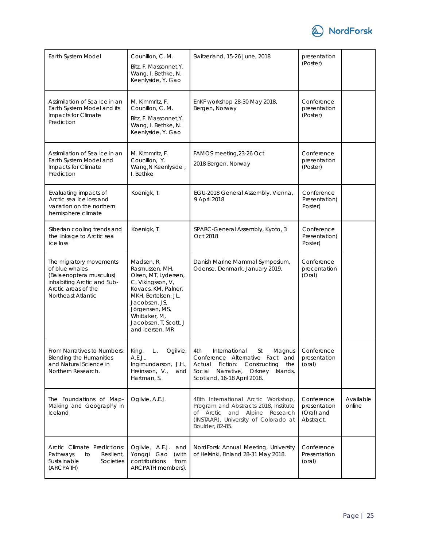

| Earth System Model                                                                                                                              | Counillon, C. M.<br>Bitz, F. Massonnet, Y.<br>Wang, I. Bethke, N.<br>Keenlyside, Y. Gao                                                                                                                                 | Switzerland, 15-26 June, 2018                                                                                                                                                      | presentation<br>(Poster)                              |                     |
|-------------------------------------------------------------------------------------------------------------------------------------------------|-------------------------------------------------------------------------------------------------------------------------------------------------------------------------------------------------------------------------|------------------------------------------------------------------------------------------------------------------------------------------------------------------------------------|-------------------------------------------------------|---------------------|
| Assimilation of Sea Ice in an<br>Earth System Model and its<br>Impacts for Climate<br>Prediction                                                | M. Kimmritz, F.<br>Counillon, C. M.<br>Bitz, F. Massonnet, Y.<br>Wang, I. Bethke, N.<br>Keenlyside, Y. Gao                                                                                                              | EnKF workshop 28-30 May 2018,<br>Bergen, Norway                                                                                                                                    | Conference<br>presentation<br>(Poster)                |                     |
| Assimilation of Sea Ice in an<br>Earth System Model and<br>Impacts for Climate<br>Prediction                                                    | M. Kimmritz, F.<br>Counillon, Y.<br>Wang, N Keenlyside,<br>I. Bethke                                                                                                                                                    | FAMOS meeting, 23-26 Oct<br>2018 Bergen, Norway                                                                                                                                    | Conference<br>presentation<br>(Poster)                |                     |
| Evaluating impacts of<br>Arctic sea ice loss and<br>variation on the northern<br>hemisphere climate                                             | Koenigk, T.                                                                                                                                                                                                             | EGU-2018 General Assembly, Vienna,<br>9 April 2018                                                                                                                                 | Conference<br>Presentation(<br>Poster)                |                     |
| Siberian cooling trends and<br>the linkage to Arctic sea<br>ice loss                                                                            | Koenigk, T.                                                                                                                                                                                                             | SPARC-General Assembly, Kyoto, 3<br>Oct 2018                                                                                                                                       | Conference<br>Presentation(<br>Poster)                |                     |
| The migratory movements<br>of blue whales<br>(Balaenoptera musculus)<br>inhabiting Arctic and Sub-<br>Arctic areas of the<br>Northeast Atlantic | Madsen, R,<br>Rasmussen, MH,<br>Olsen, MT, Lydersen,<br>C, Vikingsson, V,<br>Kovacs, KM, Palner,<br>MKH, Bertelsen, JL,<br>Jacobsen, JS,<br>Jörgensen, MS,<br>Whittaker, M,<br>Jacobsen, T, Scott, J<br>and icersen, MR | Danish Marine Mammal Symposium,<br>Odense, Denmark, January 2019.                                                                                                                  | Conference<br>precentation<br>(Oral)                  |                     |
| From Narratives to Numbers:<br><b>Blending the Humanities</b><br>and Natural Science in<br>Northern Research.                                   | $L_{\cdot}$<br>King,<br>Ogilvie,<br>A.E.J.<br>Ingimundarson, J.H.,<br>Hreinsson, V.,<br>and<br>Hartman, S.                                                                                                              | International<br>St<br>Magnus<br>4th<br>Conference Alternative Fact and<br>Actual Fiction: Constructing<br>the<br>Social Narrative, Orkney Islands,<br>Scotland, 16-18 April 2018. | Conference<br>presentation<br>(oral)                  |                     |
| The Foundations of Map-<br>Making and Geography in<br>Iceland                                                                                   | Ogilvie, A.E.J.                                                                                                                                                                                                         | 48th International Arctic Workshop,<br>Program and Abstracts 2018, Institute<br>of Arctic and Alpine Research<br>(INSTAAR), University of Colorado at<br>Boulder, 82-85.           | Conference<br>presentation<br>(Oral) and<br>Abstract. | Available<br>online |
| Arctic Climate Predictions:<br>Resilient,<br>Pathways<br>to<br>Sustainable<br>Societies<br>(ARCPATH)                                            | Ogilvie, A.E.J. and<br>Yonggi Gao<br>(with<br>contributions<br>from<br>ARCPATH members).                                                                                                                                | NordForsk Annual Meeting, University<br>of Helsinki, Finland 28-31 May 2018.                                                                                                       | Conference<br>Presentation<br>(oral)                  |                     |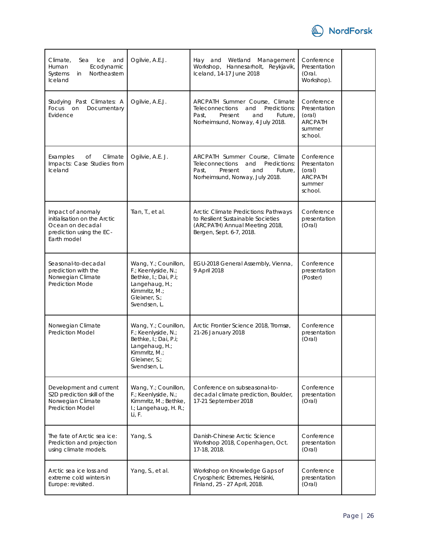

| Climate,<br>Ice<br>and<br>Sea<br>Ecodynamic<br>Human<br>Northeastern<br>Systems<br>in<br>Iceland                 | Ogilvie, A.E.J.                                                                                                                          | Hay and Wetland Management<br>Workshop, Hannesarholt, Reykjavik,<br>Iceland, 14-17 June 2018                                                               | Conference<br>Presentation<br>(Oral.<br>Workshop).                          |  |
|------------------------------------------------------------------------------------------------------------------|------------------------------------------------------------------------------------------------------------------------------------------|------------------------------------------------------------------------------------------------------------------------------------------------------------|-----------------------------------------------------------------------------|--|
| Studying Past Climates: A<br>Focus on<br>Documentary<br>Evidence                                                 | Ogilvie, A.E.J.                                                                                                                          | ARCPATH Summer Course, Climate<br>Predictions:<br><b>Teleconnections</b><br>and<br>Past,<br>Present<br>and<br>Future,<br>Norheimsund, Norway, 4 July 2018. | Conference<br>Presentation<br>(oral)<br><b>ARCPATH</b><br>summer<br>school. |  |
| Climate<br>Examples<br>Оf<br>Impacts: Case Studies from<br>Iceland                                               | Ogilvie, A.E. J.                                                                                                                         | ARCPATH Summer Course, Climate<br>Predictions:<br><b>Teleconnections</b><br>and<br>Present<br>Past,<br>Future,<br>and<br>Norheimsund, Norway, July 2018.   | Conference<br>Presentaton<br>(oral)<br><b>ARCPATH</b><br>summer<br>school.  |  |
| Impact of anomaly<br>initialisation on the Arctic<br>Ocean on decadal<br>prediction using the EC-<br>Earth model | Tian, T., et al.                                                                                                                         | Arctic Climate Predictions: Pathways<br>to Resilient Sustainable Societies<br>(ARCPATH) Annual Meeting 2018,<br>Bergen, Sept. 6-7, 2018.                   | Conference<br>presentation<br>(Oral)                                        |  |
| Seasonal-to-decadal<br>prediction with the<br>Norwegian Climate<br><b>Prediction Mode</b>                        | Wang, Y.; Counillon,<br>F.; Keenlyside, N.;<br>Bethke, I.; Dai, P.i;<br>Langehaug, H.;<br>Kimmritz, M.;<br>Gleixner, S.;<br>Svendsen, L. | EGU-2018 General Assembly, Vienna,<br>9 April 2018                                                                                                         | Conference<br>presentation<br>(Poster)                                      |  |
| Norwegian Climate<br><b>Prediction Model</b>                                                                     | Wang, Y.; Counillon,<br>F.; Keenlyside, N.;<br>Bethke, I.; Dai, P.i;<br>Langehaug, H.;<br>Kimmritz, M.:<br>Gleixner, S.;<br>Svendsen, L. | Arctic Frontier Science 2018, Tromsø,<br>21-26 January 2018                                                                                                | Conference<br>presentation<br>(Oral)                                        |  |
| Development and current<br>S2D prediction skill of the<br>Norwegian Climate<br><b>Prediction Model</b>           | Wang, Y.; Counillon,<br>F.; Keenlyside, N.;<br>Kimmritz, M.; Bethke,<br>I.; Langehaug, H. R.;<br>Li, F.                                  | Conference on subseasonal-to-<br>decadal climate prediction, Boulder,<br>17-21 September 2018                                                              | Conference<br>presentation<br>(Oral)                                        |  |
| The fate of Arctic sea ice:<br>Prediction and projection<br>using climate models.                                | Yang, S.                                                                                                                                 | Danish-Chinese Arctic Science<br>Workshop 2018, Copenhagen, Oct.<br>17-18, 2018.                                                                           | Conference<br>presentation<br>(Oral)                                        |  |
| Arctic sea ice loss and<br>extreme cold winters in<br>Europe: revisited.                                         | Yang, S., et al.                                                                                                                         | Workshop on Knowledge Gaps of<br>Cryospheric Extremes, Helsinki,<br>Finland, 25 - 27 April, 2018.                                                          | Conference<br>presentation<br>(Oral)                                        |  |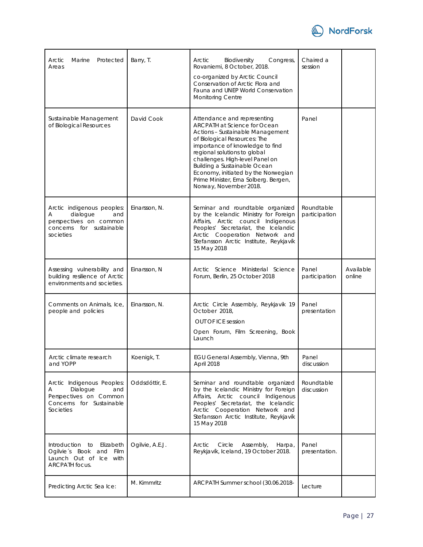

| Arctic<br>Marine<br>Protected<br>Areas                                                                                | Barry, T.       | Congress,<br>Arctic<br>Biodiversity<br>Rovaniemi, 8 October, 2018.<br>co-organized by Arctic Council<br>Conservation of Arctic Flora and<br>Fauna and UNEP World Conservation<br>Monitoring Centre                                                                                                                                                                                     | Chaired a<br>session        |                     |
|-----------------------------------------------------------------------------------------------------------------------|-----------------|----------------------------------------------------------------------------------------------------------------------------------------------------------------------------------------------------------------------------------------------------------------------------------------------------------------------------------------------------------------------------------------|-----------------------------|---------------------|
| Sustainable Management<br>of Biological Resources                                                                     | David Cook      | Attendance and representing<br><b>ARCPATH at Science for Ocean</b><br>Actions - Sustainable Management<br>of Biological Resources: The<br>importance of knowledge to find<br>regional solutions to global<br>challenges. High-level Panel on<br>Building a Sustainable Ocean<br>Economy, initiated by the Norwegian<br>Prime Minister, Erna Solberg. Bergen,<br>Norway, November 2018. | Panel                       |                     |
| Arctic indigenous peoples:<br>dialogue<br>and<br>А<br>perspectives on common<br>concerns for sustainable<br>societies | Einarsson, N.   | Seminar and roundtable organized<br>by the Icelandic Ministry for Foreign<br>Affairs, Arctic council Indigenous<br>Peoples' Secretariat, the Icelandic<br>Arctic Cooperation Network and<br>Stefansson Arctic Institute, Reykjavík<br>15 May 2018                                                                                                                                      | Roundtable<br>participation |                     |
| Assessing vulnerability and<br>building resilience of Arctic<br>environments and societies.                           | Einarsson, N    | Arctic Science Ministerial Science<br>Forum, Berlin, 25 October 2018                                                                                                                                                                                                                                                                                                                   | Panel<br>participation      | Available<br>online |
| Comments on Animals, Ice,<br>people and policies                                                                      | Einarsson, N.   | Arctic Circle Assembly, Reykjavik 19<br>October 2018,<br><b>OUT OF ICE session</b><br>Open Forum, Film Screening, Book<br>Launch                                                                                                                                                                                                                                                       | Panel<br>presentation       |                     |
| Arctic climate research<br>and YOPP                                                                                   | Koenigk, T.     | EGU General Assembly, Vienna, 9th<br>April 2018                                                                                                                                                                                                                                                                                                                                        | Panel<br>discussion         |                     |
| Arctic Indigenous Peoples:<br>Dialogue<br>and<br>Α<br>Perspectives on Common<br>Concerns for Sustainable<br>Societies | Oddsdóttir, E.  | Seminar and roundtable organized<br>by the Icelandic Ministry for Foreign<br>Affairs, Arctic council Indigenous<br>Peoples' Secretariat, the Icelandic<br>Arctic Cooperation Network and<br>Stefansson Arctic Institute, Reykjavík<br>15 May 2018                                                                                                                                      | Roundtable<br>discussion    |                     |
| Introduction to<br>Elizabeth<br>Ogilvie's Book and Film<br>Launch Out of Ice with<br><b>ARCPATH</b> focus.            | Ogilvie, A.E.J. | Arctic<br>Circle<br>Assembly,<br>Harpa,<br>Reykjavík, Iceland, 19 October 2018.                                                                                                                                                                                                                                                                                                        | Panel<br>presentation.      |                     |
| Predicting Arctic Sea Ice:                                                                                            | M. Kimmritz     | ARCPATH Summer school (30.06.2018-                                                                                                                                                                                                                                                                                                                                                     | Lecture                     |                     |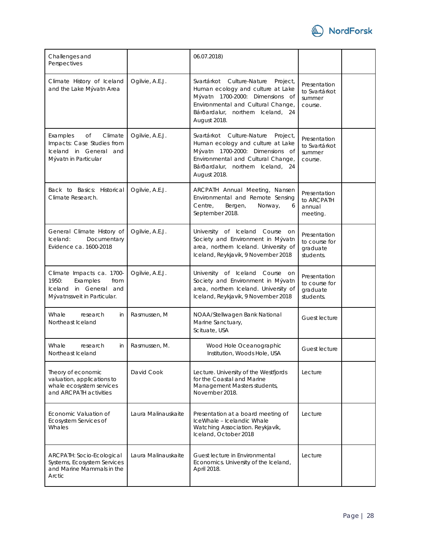

| Challenges and<br>Perspectives                                                                                  |                     | 06.07.2018)                                                                                                                                                                                              |                                                        |  |
|-----------------------------------------------------------------------------------------------------------------|---------------------|----------------------------------------------------------------------------------------------------------------------------------------------------------------------------------------------------------|--------------------------------------------------------|--|
| Climate History of Iceland<br>and the Lake Mývatn Area                                                          | Ogilvie, A.E.J.     | Svartárkot Culture-Nature<br>Project,<br>Human ecology and culture at Lake<br>Mývatn 1700-2000: Dimensions of<br>Environmental and Cultural Change,<br>Bárðardalur, northern Iceland, 24<br>August 2018. | Presentation<br>to Svartárkot<br>summer<br>course.     |  |
| Climate<br>Examples<br>Оf<br>Impacts: Case Studies from<br>Iceland in General and<br>Mývatn in Particular       | Ogilvie, A.E.J.     | Svartárkot Culture-Nature<br>Project,<br>Human ecology and culture at Lake<br>Mývatn 1700-2000: Dimensions of<br>Environmental and Cultural Change,<br>Bárðardalur, northern Iceland, 24<br>August 2018. | Presentation<br>to Svartárkot<br>summer<br>course.     |  |
| Back to Basics: Historical<br>Climate Research.                                                                 | Ogilvie, A.E.J.     | ARCPATH Annual Meeting, Nansen<br>Environmental and Remote Sensing<br>Centre.<br>Bergen,<br>Norway,<br>6<br>September 2018.                                                                              | Presentation<br>to ARCPATH<br>annual<br>meeting.       |  |
| General Climate History of<br>Iceland:<br>Documentary<br>Evidence ca. 1600-2018                                 | Ogilvie, A.E.J.     | University of Iceland Course on<br>Society and Environment in Mývatn<br>area, northern Iceland. University of<br>Iceland, Reykjavik, 9 November 2018                                                     | Presentation<br>to course for<br>graduate<br>students. |  |
| Climate Impacts ca. 1700-<br>Examples<br>1950:<br>from<br>Iceland in General and<br>Mývatnssveit in Particular. | Ogilvie, A.E.J.     | University of Iceland Course<br>on<br>Society and Environment in Mývatn<br>area, northern Iceland. University of<br>Iceland, Reykjavik, 9 November 2018                                                  | Presentation<br>to course for<br>graduate<br>students. |  |
| Whale<br>research<br>in<br>Northeast Iceland                                                                    | Rasmussen, M        | NOAA/Stellwagen Bank National<br>Marine Sanctuary,<br>Scituate, USA                                                                                                                                      | Guest lecture                                          |  |
| Whale<br>research<br>in<br>Northeast Iceland                                                                    | Rasmussen, M.       | Wood Hole Oceanographic<br>Institution, Woods Hole, USA                                                                                                                                                  | Guest lecture                                          |  |
| Theory of economic<br>valuation, applications to<br>whale ecosystem services<br>and ARCPATH activities          | David Cook          | Lecture. University of the Westfjords<br>for the Coastal and Marine<br>Management Masters students,<br>November 2018.                                                                                    | Lecture                                                |  |
| Economic Valuation of<br>Ecosystem Services of<br>Whales                                                        | Laura Malinauskaite | Presentation at a board meeting of<br>IceWhale - Icelandic Whale<br>Watching Association. Reykjavík,<br>Iceland, October 2018                                                                            | Lecture                                                |  |
| ARCPATH: Socio-Ecological<br>Systems, Ecosystem Services<br>and Marine Mammals in the<br>Arctic                 | Laura Malinauskaite | Guest lecture in Environmental<br>Economics. University of the Iceland,<br>April 2018.                                                                                                                   | Lecture                                                |  |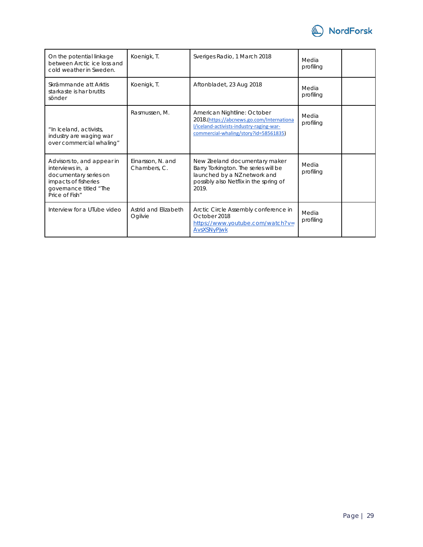

| On the potential linkage<br>between Arctic ice loss and<br>cold weather in Sweden.                                                          | Koenigk, T.                       | Sveriges Radio, 1 March 2018                                                                                                                                  | Media<br>profiling |  |
|---------------------------------------------------------------------------------------------------------------------------------------------|-----------------------------------|---------------------------------------------------------------------------------------------------------------------------------------------------------------|--------------------|--|
| Skrämmande att Arktis<br>starkaste is har brutits<br>sönder                                                                                 | Koenigk, T.                       | Aftonbladet, 23 Aug 2018                                                                                                                                      | Media<br>profiling |  |
| "In Iceland, activists,<br>industry are waging war<br>over commercial whaling"                                                              | Rasmussen, M.                     | American Nightline: October<br>2018.(https://abcnews.go.com/Internationa<br>l/iceland-activists-industry-raging-war-<br>commercial-whaling/story?id=58561835) | Media<br>profiling |  |
| Advisors to, and appear in<br>interviews in, a<br>documentary series on<br>impacts of fisheries<br>governance titled "The<br>Price of Fish" | Einarsson, N. and<br>Chambers, C. | New Zeeland documentary maker<br>Barry Torkington. The series will be<br>launched by a NZ network and<br>possibly also Netflix in the spring of<br>2019       | Media<br>profiling |  |
| Interview for a UTube video                                                                                                                 | Astrid and Elizabeth<br>Ogilvie   | Arctic Circle Assembly conference in<br>October 2018<br>https://www.youtube.com/watch?v=<br>AvsXSNyPjwk                                                       | Media<br>profiling |  |